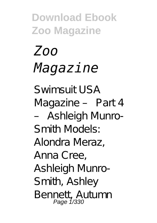# *Zoo Magazine*

Swimsuit USA Magazine – Part 4 – Ashleigh Munro-Smith Models: Alondra Meraz, Anna Cree, Ashleigh Munro-Smith, Ashley Bennett, Autumn Page 1/330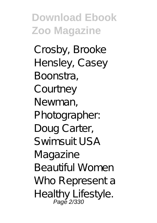Crosby, Brooke Hensley, Casey Boonstra, **Courtney** Newman, Photographer: Doug Carter, Swimsuit USA Magazine Beautiful Women Who Represent a Healthy Lifestyle.<br>Page 2/330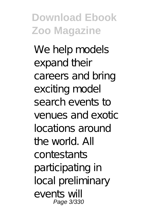We help models expand their careers and bring exciting model search events to venues and exotic locations around the world. All contestants participating in local preliminary events will Page 3/330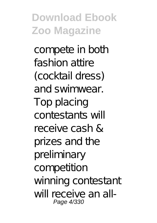compete in both fashion attire (cocktail dress) and swimwear. Top placing contestants will receive cash & prizes and the preliminary competition winning contestant will receive an all-Page 4/330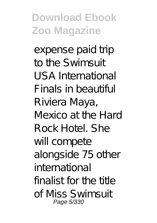expense paid trip to the Swimsuit USA International Finals in beautiful Riviera Maya, Mexico at the Hard Rock Hotel. She will compete alongside 75 other international finalist for the title of Miss Swimsuit Page 5/330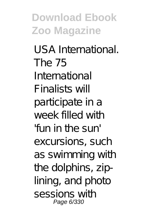USA International. The 75 International Finalists will participate in a week filled with 'fun in the sun' excursions, such as swimming with the dolphins, ziplining, and photo sessions with Page 6/330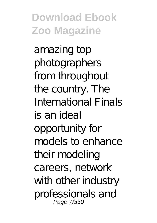amazing top photographers from throughout the country. The International Finals is an ideal opportunity for models to enhance their modeling careers, network with other industry professionals and Page 7/330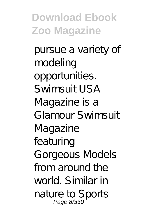pursue a variety of modeling opportunities. Swimsuit USA Magazine is a Glamour Swimsuit Magazine featuring Gorgeous Models from around the world. Similar in nature to Sports<br>Page 8/330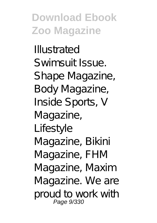Illustrated Swimsuit Issue. Shape Magazine, Body Magazine, Inside Sports, V Magazine, Lifestyle Magazine, Bikini Magazine, FHM Magazine, Maxim Magazine. We are proud to work with Page 9/330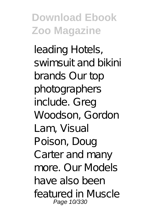leading Hotels, swimsuit and bikini brands Our top photographers include. Greg Woodson, Gordon Lam, Visual Poison, Doug Carter and many more. Our Models have also been featured in Muscle Page 10/330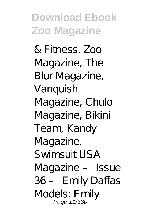& Fitness, Zoo Magazine, The Blur Magazine, Vanquish Magazine, Chulo Magazine, Bikini Team, Kandy Magazine. Swimsuit USA Magazine – Issue 36 – Emily Daffas Models: Emily<br>Page 11/330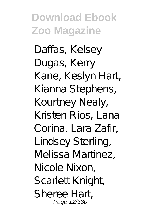Daffas, Kelsey Dugas, Kerry Kane, Keslyn Hart, Kianna Stephens, Kourtney Nealy, Kristen Rios, Lana Corina, Lara Zafir, Lindsey Sterling, Melissa Martinez, Nicole Nixon, **Scarlett Knight** Sheree Hart, Page 12/330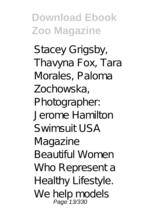Stacey Grigsby, Thavyna Fox, Tara Morales, Paloma Zochowska, Photographer: Jerome Hamilton Swimsuit USA Magazine Beautiful Women Who Represent a Healthy Lifestyle. We help models<br>Page 13/330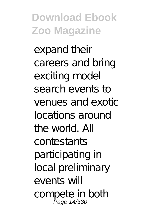expand their careers and bring exciting model search events to venues and exotic locations around the world. All contestants participating in local preliminary events will compete in both<br>Page 14/330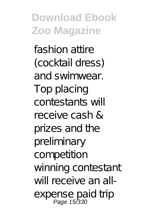fashion attire (cocktail dress) and swimwear. Top placing contestants will receive cash & prizes and the preliminary competition winning contestant will receive an allexpense paid trip<br>Page 15/330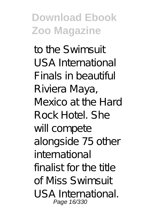to the Swimsuit USA International Finals in beautiful Riviera Maya, Mexico at the Hard Rock Hotel. She will compete alongside 75 other international finalist for the title of Miss Swimsuit USA International. Page 16/330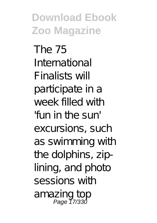The 75 International Finalists will participate in a week filled with 'fun in the sun' excursions, such as swimming with the dolphins, ziplining, and photo sessions with amazing top Page 17/330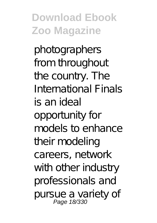photographers from throughout the country. The International Finals is an ideal opportunity for models to enhance their modeling careers, network with other industry professionals and pursue a variety of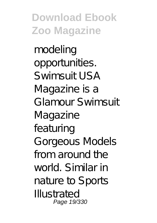modeling opportunities. Swimsuit USA Magazine is a Glamour Swimsuit Magazine featuring Gorgeous Models from around the world. Similar in nature to Sports Illustrated Page 19/330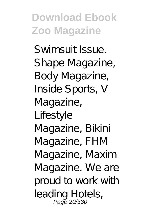Swimsuit Issue. Shape Magazine, Body Magazine, Inside Sports, V Magazine, Lifestyle Magazine, Bikini Magazine, FHM Magazine, Maxim Magazine. We are proud to work with leading Hotels,<br>Page 20/330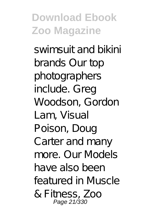swimsuit and bikini brands Our top photographers include. Greg Woodson, Gordon Lam, Visual Poison, Doug Carter and many more. Our Models have also been featured in Muscle & Fitness, Zoo Page 21/330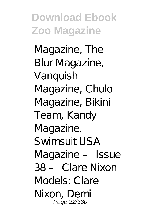Magazine, The Blur Magazine, Vanquish Magazine, Chulo Magazine, Bikini Team, Kandy Magazine. Swimsuit USA Magazine – Issue 38 – Clare Nixon Models: Clare Nixon, Demi Page 22/330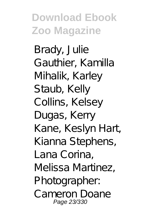Brady, Julie Gauthier, Kamilla Mihalik, Karley Staub, Kelly Collins, Kelsey Dugas, Kerry Kane, Keslyn Hart, Kianna Stephens, Lana Corina, Melissa Martinez, Photographer: Cameron Doane Page 23/330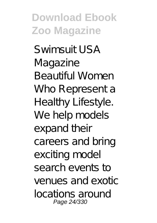Swimsuit USA Magazine Beautiful Women Who Represent a Healthy Lifestyle. We help models expand their careers and bring exciting model search events to venues and exotic locations around Page 24/330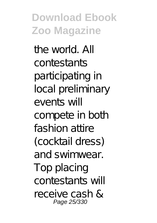the world. All contestants participating in local preliminary events will compete in both fashion attire (cocktail dress) and swimwear. Top placing contestants will receive cash & Page 25/330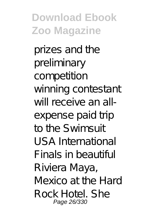prizes and the preliminary competition winning contestant will receive an allexpense paid trip to the Swimsuit USA International Finals in beautiful Riviera Maya, Mexico at the Hard Rock Hotel. She Page 26/330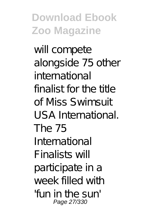will compete alongside 75 other international finalist for the title of Miss Swimsuit USA International. The 75 International Finalists will participate in a week filled with 'fun in the sun' Page 27/330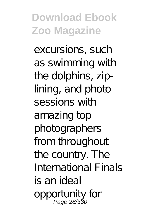excursions, such as swimming with the dolphins, ziplining, and photo sessions with amazing top photographers from throughout the country. The International Finals is an ideal opportunity for Page 28/330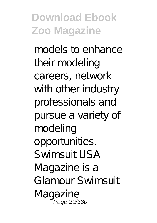models to enhance their modeling careers, network with other industry professionals and pursue a variety of modeling opportunities.  $S$ *wimsuit*  $USA$ Magazine is a Glamour Swimsuit Magazine Page 29/330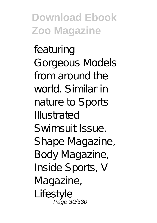featuring Gorgeous Models from around the world. Similar in nature to Sports Illustrated Swimsuit Issue. Shape Magazine, Body Magazine, Inside Sports, V Magazine, Lifestyle Păge 30/330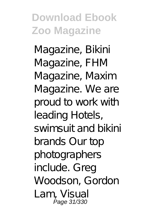Magazine, Bikini Magazine, FHM Magazine, Maxim Magazine. We are proud to work with leading Hotels, swimsuit and bikini brands Our top photographers include. Greg Woodson, Gordon Lam, Visual Page 31/330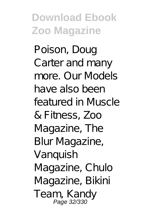Poison, Doug Carter and many more. Our Models have also been featured in Muscle & Fitness, Zoo Magazine, The Blur Magazine, Vanquish Magazine, Chulo Magazine, Bikini Team, Kandy<br>Page 32/330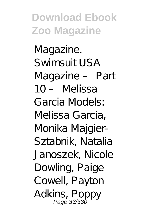Magazine. Swimsuit USA Magazine – Part 10 – Melissa Garcia Models: Melissa Garcia, Monika Majgier-Sztabnik, Natalia Janoszek, Nicole Dowling, Paige Cowell, Payton Adkins, Poppy Page 33/330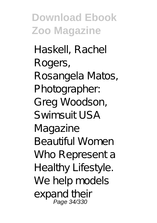Haskell, Rachel Rogers, Rosangela Matos, Photographer: Greg Woodson, Swimsuit USA Magazine Beautiful Women Who Represent a Healthy Lifestyle. We help models expand their Page 34/330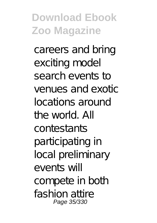careers and bring exciting model search events to venues and exotic locations around the world. All contestants participating in local preliminary events will compete in both fashion attire Page 35/330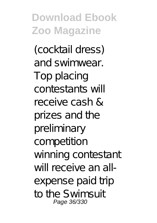(cocktail dress) and swimwear. Top placing contestants will receive cash & prizes and the preliminary competition winning contestant will receive an allexpense paid trip to the Swimsuit Page 36/330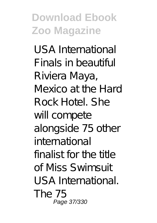USA International Finals in beautiful Riviera Maya, Mexico at the Hard Rock Hotel. She will compete alongside 75 other international  $finalist$  for the  $t$ <sub>th</sub> of Miss Swimsuit USA International. The 75 Page 37/330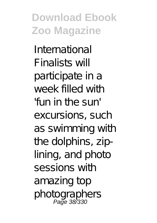International Finalists will participate in a week filled with 'fun in the sun' excursions, such as swimming with the dolphins, ziplining, and photo sessions with amazing top photographers Page 38/330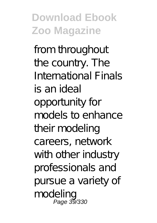from throughout the country. The International Finals is an ideal opportunity for models to enhance their modeling careers, network with other industry professionals and pursue a variety of modeling Page 39/330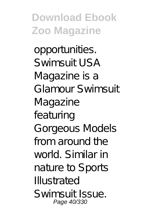opportunities. Swimsuit USA Magazine is a Glamour Swimsuit Magazine featuring Gorgeous Models from around the world. Similar in nature to Sports Illustrated Swimsuit Issue. Page 40/330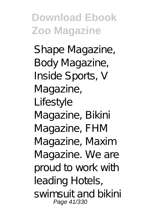Shape Magazine, Body Magazine, Inside Sports, V Magazine, Lifestyle Magazine, Bikini Magazine, FHM Magazine, Maxim Magazine. We are proud to work with leading Hotels, swimsuit and bikini Page 41/330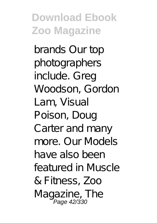brands Our top photographers include. Greg Woodson, Gordon Lam, Visual Poison, Doug Carter and many more. Our Models have also been featured in Muscle & Fitness, Zoo Magazine, The<br>Page 42/330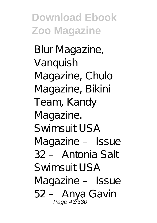Blur Magazine, Vanquish Magazine, Chulo Magazine, Bikini Team, Kandy Magazine. Swimsuit USA Magazine – Issue 32 – Antonia Salt Swimsuit USA Magazine – Issue 52 – Anya Gavin Page 43/330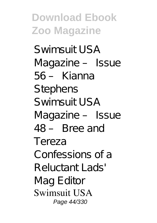Swimsuit USA Magazine – Issue 56 – Kianna **Stephens** Swimsuit USA Magazine – Issue 48 – Bree and Tereza Confessions of a Reluctant Lads' Mag Editor Swimsuit USA Page 44/330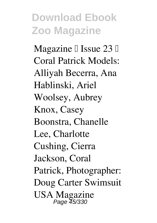Magazine  $\mathbb I$  Issue 23  $\mathbb I$ Coral Patrick Models: Alliyah Becerra, Ana Hablinski, Ariel Woolsey, Aubrey Knox, Casey Boonstra, Chanelle Lee, Charlotte Cushing, Cierra Jackson, Coral Patrick, Photographer: Doug Carter Swimsuit USA Magazine Page 45/330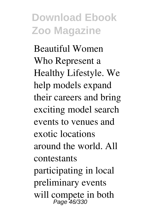Beautiful Women Who Represent a Healthy Lifestyle. We help models expand their careers and bring exciting model search events to venues and exotic locations around the world. All contestants participating in local preliminary events will compete in both<br>Page 46/330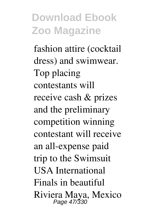fashion attire (cocktail dress) and swimwear. Top placing contestants will receive cash & prizes and the preliminary competition winning contestant will receive an all-expense paid trip to the Swimsuit USA International Finals in beautiful Riviera Maya, Mexico Page 47/330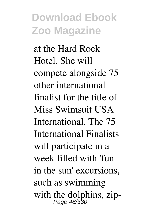at the Hard Rock Hotel. She will compete alongside 75 other international finalist for the title of Miss Swimsuit USA International. The 75 International Finalists will participate in a week filled with 'fun in the sun' excursions, such as swimming with the dolphins, zip-<br> $Page\,48/330$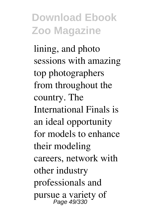lining, and photo sessions with amazing top photographers from throughout the country. The International Finals is an ideal opportunity for models to enhance their modeling careers, network with other industry professionals and pursue a variety of Page 49/330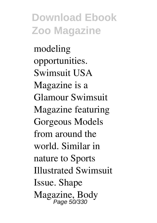modeling opportunities. Swimsuit USA Magazine is a Glamour Swimsuit Magazine featuring Gorgeous Models from around the world. Similar in nature to Sports Illustrated Swimsuit Issue. Shape Magazine, Body Page 50/330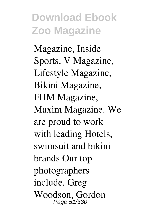Magazine, Inside Sports, V Magazine, Lifestyle Magazine, Bikini Magazine, FHM Magazine, Maxim Magazine. We are proud to work with leading Hotels, swimsuit and bikini brands Our top photographers include. Greg Woodson, Gordon Page 51/330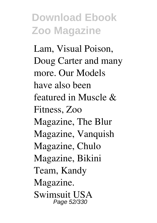Lam, Visual Poison, Doug Carter and many more. Our Models have also been featured in Muscle & Fitness, Zoo Magazine, The Blur Magazine, Vanquish Magazine, Chulo Magazine, Bikini Team, Kandy Magazine. Swimsuit USA Page 52/330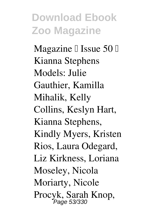Magazine  $\mathbb I$  Issue 50  $\mathbb I$ Kianna Stephens Models: Julie Gauthier, Kamilla Mihalik, Kelly Collins, Keslyn Hart, Kianna Stephens, Kindly Myers, Kristen Rios, Laura Odegard, Liz Kirkness, Loriana Moseley, Nicola Moriarty, Nicole Procyk, Sarah Knop,<br>Page 53/330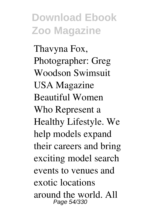Thavyna Fox, Photographer: Greg Woodson Swimsuit USA Magazine Beautiful Women Who Represent a Healthy Lifestyle. We help models expand their careers and bring exciting model search events to venues and exotic locations around the world. All Page 54/330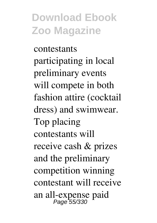contestants participating in local preliminary events will compete in both fashion attire (cocktail dress) and swimwear. Top placing contestants will receive cash & prizes and the preliminary competition winning contestant will receive an all-expense paid Page 55/330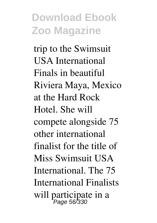trip to the Swimsuit USA International Finals in beautiful Riviera Maya, Mexico at the Hard Rock Hotel. She will compete alongside 75 other international finalist for the title of Miss Swimsuit USA International. The 75 International Finalists will participate in a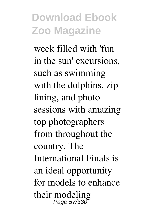week filled with 'fun in the sun' excursions, such as swimming with the dolphins, ziplining, and photo sessions with amazing top photographers from throughout the country. The International Finals is an ideal opportunity for models to enhance their modeling Page 57/330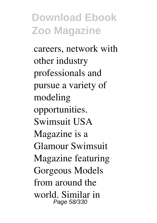careers, network with other industry professionals and pursue a variety of modeling opportunities. Swimsuit USA Magazine is a Glamour Swimsuit Magazine featuring Gorgeous Models from around the world. Similar in Page 58/330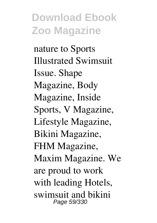nature to Sports Illustrated Swimsuit Issue. Shape Magazine, Body Magazine, Inside Sports, V Magazine, Lifestyle Magazine, Bikini Magazine, FHM Magazine, Maxim Magazine. We are proud to work with leading Hotels, swimsuit and bikini Page 59/330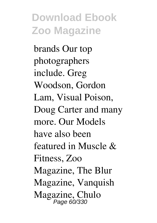brands Our top photographers include. Greg Woodson, Gordon Lam, Visual Poison, Doug Carter and many more. Our Models have also been featured in Muscle & Fitness, Zoo Magazine, The Blur Magazine, Vanquish Magazine, Chulo<br>Page 60/330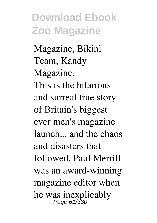Magazine, Bikini Team, Kandy Magazine. This is the hilarious and surreal true story of Britain's biggest ever men's magazine launch... and the chaos and disasters that followed. Paul Merrill was an award-winning magazine editor when he was inexplicably<br>Page 61/330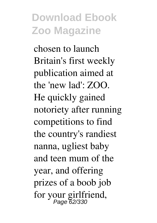chosen to launch Britain's first weekly publication aimed at the 'new lad': ZOO. He quickly gained notoriety after running competitions to find the country's randiest nanna, ugliest baby and teen mum of the year, and offering prizes of a boob job for your girlfriend, Page 62/330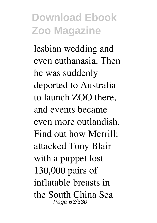lesbian wedding and even euthanasia. Then he was suddenly deported to Australia to launch ZOO there, and events became even more outlandish. Find out how Merrill: attacked Tony Blair with a puppet lost 130,000 pairs of inflatable breasts in the South China Sea Page 63/330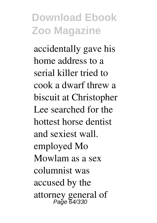accidentally gave his home address to a serial killer tried to cook a dwarf threw a biscuit at Christopher Lee searched for the hottest horse dentist and sexiest wall. employed Mo Mowlam as a sex columnist was accused by the attorney general of Page 64/330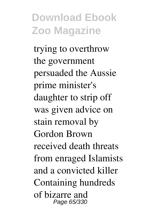trying to overthrow the government persuaded the Aussie prime minister's daughter to strip off was given advice on stain removal by Gordon Brown received death threats from enraged Islamists and a convicted killer Containing hundreds of bizarre and Page 65/330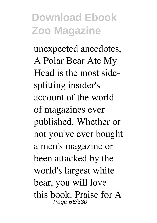unexpected anecdotes, A Polar Bear Ate My Head is the most sidesplitting insider's account of the world of magazines ever published. Whether or not you've ever bought a men's magazine or been attacked by the world's largest white bear, you will love this book. Praise for A Page 66/330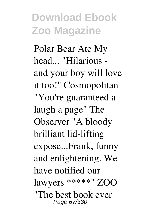Polar Bear Ate My head... "Hilarious and your boy will love it too!" Cosmopolitan "You're guaranteed a laugh a page" The Observer "A bloody brilliant lid-lifting expose...Frank, funny and enlightening. We have notified our lawyers \*\*\*\*\*" ZOO "The best book ever Page 67/330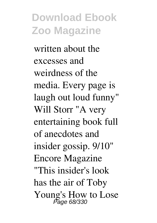written about the excesses and weirdness of the media. Every page is laugh out loud funny" Will Storr "A very entertaining book full of anecdotes and insider gossip. 9/10" Encore Magazine "This insider's look has the air of Toby Young's How to Lose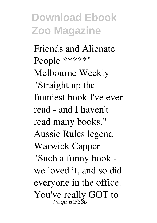Friends and Alienate People \*\*\*\*\*" Melbourne Weekly "Straight up the funniest book I've ever read - and I haven't read many books." Aussie Rules legend Warwick Capper "Such a funny book we loved it, and so did everyone in the office. You've really GOT to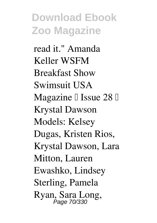read it." Amanda Keller WSFM Breakfast Show Swimsuit USA Magazine  $\mathbb I$  Issue 28  $\mathbb I$ Krystal Dawson Models: Kelsey Dugas, Kristen Rios, Krystal Dawson, Lara Mitton, Lauren Ewashko, Lindsey Sterling, Pamela Ryan, Sara Long, Page 70/330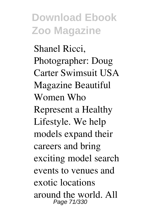Shanel Ricci, Photographer: Doug Carter Swimsuit USA Magazine Beautiful Women Who Represent a Healthy Lifestyle. We help models expand their careers and bring exciting model search events to venues and exotic locations around the world. All Page 71/330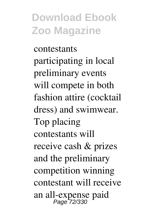contestants participating in local preliminary events will compete in both fashion attire (cocktail dress) and swimwear. Top placing contestants will receive cash & prizes and the preliminary competition winning contestant will receive an all-expense paid Page 72/330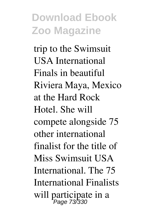trip to the Swimsuit USA International Finals in beautiful Riviera Maya, Mexico at the Hard Rock Hotel. She will compete alongside 75 other international finalist for the title of Miss Swimsuit USA International. The 75 International Finalists will participate in a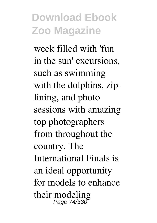week filled with 'fun in the sun' excursions, such as swimming with the dolphins, ziplining, and photo sessions with amazing top photographers from throughout the country. The International Finals is an ideal opportunity for models to enhance their modeling Page 74/330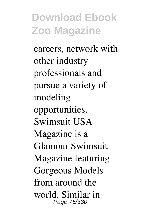careers, network with other industry professionals and pursue a variety of modeling opportunities. Swimsuit USA Magazine is a Glamour Swimsuit Magazine featuring Gorgeous Models from around the world. Similar in Page 75/330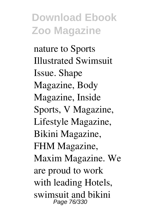nature to Sports Illustrated Swimsuit Issue. Shape Magazine, Body Magazine, Inside Sports, V Magazine, Lifestyle Magazine, Bikini Magazine, FHM Magazine, Maxim Magazine. We are proud to work with leading Hotels, swimsuit and bikini Page 76/330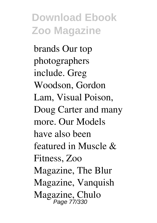brands Our top photographers include. Greg Woodson, Gordon Lam, Visual Poison, Doug Carter and many more. Our Models have also been featured in Muscle & Fitness, Zoo Magazine, The Blur Magazine, Vanquish Magazine, Chulo Page 77/330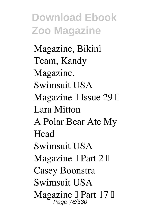Magazine, Bikini Team, Kandy Magazine. Swimsuit USA Magazine  $\mathbb I$  Issue 29  $\mathbb I$ Lara Mitton A Polar Bear Ate My Head Swimsuit USA Magazine  $\mathbb I$  Part 2  $\mathbb I$ Casey Boonstra Swimsuit USA Magazine I Part 17 I<br>Page 78/330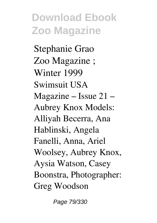Stephanie Grao Zoo Magazine ; Winter 1999 Swimsuit USA Magazine – Issue 21 – Aubrey Knox Models: Alliyah Becerra, Ana Hablinski, Angela Fanelli, Anna, Ariel Woolsey, Aubrey Knox, Aysia Watson, Casey Boonstra, Photographer: Greg Woodson

Page 79/330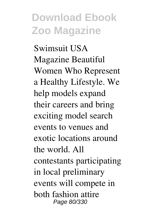Swimsuit USA Magazine Beautiful Women Who Represent a Healthy Lifestyle. We help models expand their careers and bring exciting model search events to venues and exotic locations around the world. All contestants participating in local preliminary events will compete in both fashion attire Page 80/330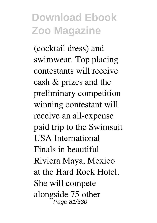(cocktail dress) and swimwear. Top placing contestants will receive cash & prizes and the preliminary competition winning contestant will receive an all-expense paid trip to the Swimsuit USA International Finals in beautiful Riviera Maya, Mexico at the Hard Rock Hotel. She will compete alongside 75 other Page 81/330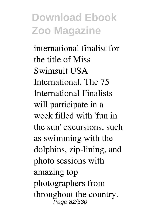international finalist for the title of Miss Swimsuit USA International. The 75 International Finalists will participate in a week filled with 'fun in the sun' excursions, such as swimming with the dolphins, zip-lining, and photo sessions with amazing top photographers from throughout the country. Page 82/330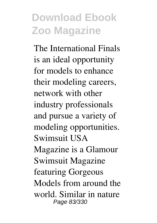The International Finals is an ideal opportunity for models to enhance their modeling careers, network with other industry professionals and pursue a variety of modeling opportunities. Swimsuit USA Magazine is a Glamour Swimsuit Magazine featuring Gorgeous Models from around the world. Similar in nature Page 83/330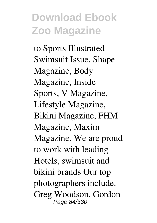to Sports Illustrated Swimsuit Issue. Shape Magazine, Body Magazine, Inside Sports, V Magazine, Lifestyle Magazine, Bikini Magazine, FHM Magazine, Maxim Magazine. We are proud to work with leading Hotels, swimsuit and bikini brands Our top photographers include. Greg Woodson, Gordon Page 84/330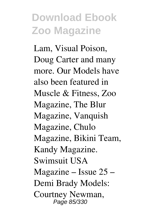Lam, Visual Poison, Doug Carter and many more. Our Models have also been featured in Muscle & Fitness, Zoo Magazine, The Blur Magazine, Vanquish Magazine, Chulo Magazine, Bikini Team, Kandy Magazine. Swimsuit USA Magazine – Issue 25 – Demi Brady Models: Courtney Newman, Page 85/330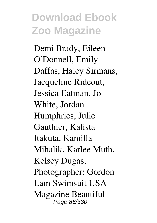Demi Brady, Eileen O'Donnell, Emily Daffas, Haley Sirmans, Jacqueline Rideout, Jessica Eatman, Jo White, Jordan Humphries, Julie Gauthier, Kalista Itakuta, Kamilla Mihalik, Karlee Muth, Kelsey Dugas, Photographer: Gordon Lam Swimsuit USA Magazine Beautiful Page 86/330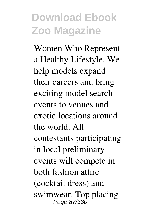Women Who Represent a Healthy Lifestyle. We help models expand their careers and bring exciting model search events to venues and exotic locations around the world. All contestants participating in local preliminary events will compete in both fashion attire (cocktail dress) and swimwear. Top placing Page 87/330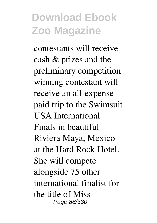contestants will receive cash & prizes and the preliminary competition winning contestant will receive an all-expense paid trip to the Swimsuit USA International Finals in beautiful Riviera Maya, Mexico at the Hard Rock Hotel. She will compete alongside 75 other international finalist for the title of Miss Page 88/330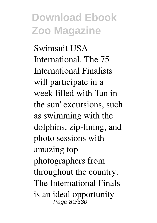Swimsuit USA International. The 75 International Finalists will participate in a week filled with 'fun in the sun' excursions, such as swimming with the dolphins, zip-lining, and photo sessions with amazing top photographers from throughout the country. The International Finals is an ideal opportunity Page 89/330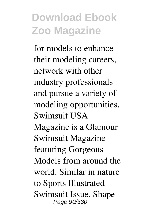for models to enhance their modeling careers, network with other industry professionals and pursue a variety of modeling opportunities. Swimsuit USA Magazine is a Glamour Swimsuit Magazine featuring Gorgeous Models from around the world. Similar in nature to Sports Illustrated Swimsuit Issue. Shape Page 90/330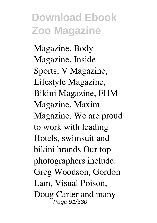Magazine, Body Magazine, Inside Sports, V Magazine, Lifestyle Magazine, Bikini Magazine, FHM Magazine, Maxim Magazine. We are proud to work with leading Hotels, swimsuit and bikini brands Our top photographers include. Greg Woodson, Gordon Lam, Visual Poison, Doug Carter and many Page 91/330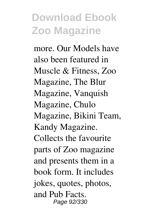more. Our Models have also been featured in Muscle & Fitness, Zoo Magazine, The Blur Magazine, Vanquish Magazine, Chulo Magazine, Bikini Team, Kandy Magazine. Collects the favourite parts of Zoo magazine and presents them in a book form. It includes jokes, quotes, photos, and Pub Facts. Page 92/330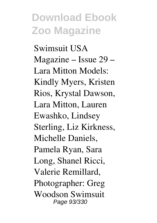Swimsuit USA Magazine – Issue 29 – Lara Mitton Models: Kindly Myers, Kristen Rios, Krystal Dawson, Lara Mitton, Lauren Ewashko, Lindsey Sterling, Liz Kirkness, Michelle Daniels, Pamela Ryan, Sara Long, Shanel Ricci, Valerie Remillard, Photographer: Greg Woodson Swimsuit Page 93/330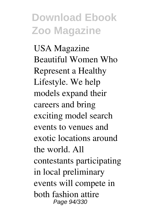USA Magazine Beautiful Women Who Represent a Healthy Lifestyle. We help models expand their careers and bring exciting model search events to venues and exotic locations around the world. All contestants participating in local preliminary events will compete in both fashion attire Page 94/330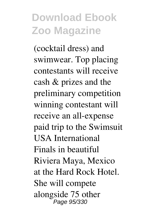(cocktail dress) and swimwear. Top placing contestants will receive cash & prizes and the preliminary competition winning contestant will receive an all-expense paid trip to the Swimsuit USA International Finals in beautiful Riviera Maya, Mexico at the Hard Rock Hotel. She will compete alongside 75 other Page 95/330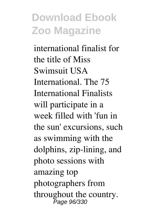international finalist for the title of Miss Swimsuit USA International. The 75 International Finalists will participate in a week filled with 'fun in the sun' excursions, such as swimming with the dolphins, zip-lining, and photo sessions with amazing top photographers from throughout the country. Page 96/330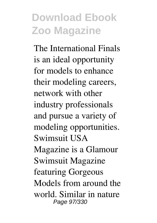The International Finals is an ideal opportunity for models to enhance their modeling careers, network with other industry professionals and pursue a variety of modeling opportunities. Swimsuit USA Magazine is a Glamour Swimsuit Magazine featuring Gorgeous Models from around the world. Similar in nature Page 97/330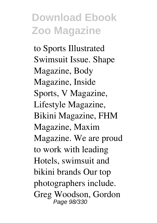to Sports Illustrated Swimsuit Issue. Shape Magazine, Body Magazine, Inside Sports, V Magazine, Lifestyle Magazine, Bikini Magazine, FHM Magazine, Maxim Magazine. We are proud to work with leading Hotels, swimsuit and bikini brands Our top photographers include. Greg Woodson, Gordon Page 98/330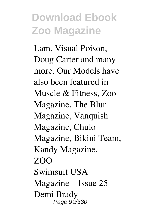Lam, Visual Poison, Doug Carter and many more. Our Models have also been featured in Muscle & Fitness, Zoo Magazine, The Blur Magazine, Vanquish Magazine, Chulo Magazine, Bikini Team, Kandy Magazine. ZOO Swimsuit USA Magazine – Issue 25 – Demi Brady Page 99⁄330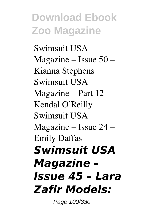Swimsuit USA Magazine – Issue 50 – Kianna Stephens Swimsuit USA Magazine – Part 12 – Kendal O'Reilly Swimsuit USA Magazine – Issue 24 – Emily Daffas *Swimsuit USA Magazine – Issue 45 – Lara Zafir Models:*

Page 100/330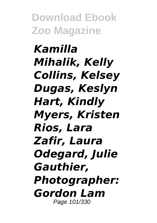*Kamilla Mihalik, Kelly Collins, Kelsey Dugas, Keslyn Hart, Kindly Myers, Kristen Rios, Lara Zafir, Laura Odegard, Julie Gauthier, Photographer: Gordon Lam* Page 101/330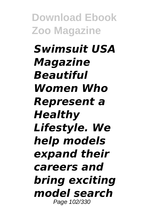*Swimsuit USA Magazine Beautiful Women Who Represent a Healthy Lifestyle. We help models expand their careers and bring exciting model search* Page 102/330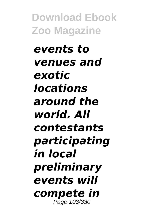*events to venues and exotic locations around the world. All contestants participating in local preliminary events will compete in* Page 103/330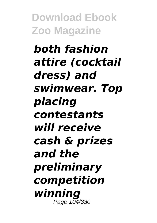#### *both fashion attire (cocktail dress) and swimwear. Top placing contestants will receive cash & prizes and the preliminary competition winning* Page 104/330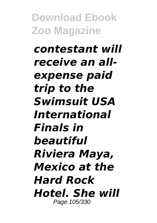*contestant will receive an allexpense paid trip to the Swimsuit USA International Finals in beautiful Riviera Maya, Mexico at the Hard Rock Hotel. She will* Page 105/330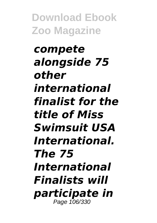*compete alongside 75 other international finalist for the title of Miss Swimsuit USA International. The 75 International Finalists will participate in* Page 106/330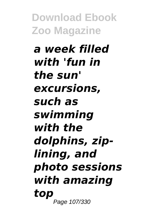*a week filled with 'fun in the sun' excursions, such as swimming with the dolphins, ziplining, and photo sessions with amazing top* Page 107/330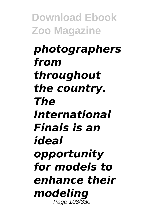*photographers from throughout the country. The International Finals is an ideal opportunity for models to enhance their modeling* Page 108/330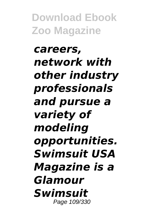*careers, network with other industry professionals and pursue a variety of modeling opportunities. Swimsuit USA Magazine is a Glamour Swimsuit* Page 109/330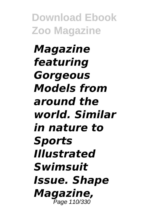*Magazine featuring Gorgeous Models from around the world. Similar in nature to Sports Illustrated Swimsuit Issue. Shape Magazine,* Page 110/330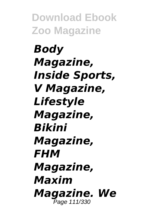*Body Magazine, Inside Sports, V Magazine, Lifestyle Magazine, Bikini Magazine, FHM Magazine, Maxim Magazine. We* Page 111/330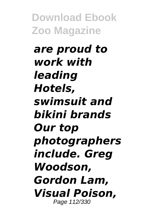*are proud to work with leading Hotels, swimsuit and bikini brands Our top photographers include. Greg Woodson, Gordon Lam, Visual Poison,* Page 112/330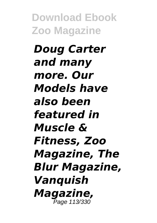*Doug Carter and many more. Our Models have also been featured in Muscle & Fitness, Zoo Magazine, The Blur Magazine, Vanquish Magazine,* Page 113/330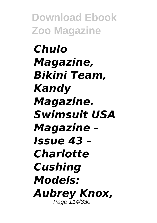*Chulo Magazine, Bikini Team, Kandy Magazine. Swimsuit USA Magazine – Issue 43 – Charlotte Cushing Models: Aubrey Knox,* Page 114/330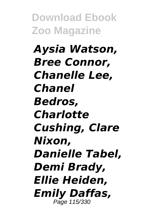*Aysia Watson, Bree Connor, Chanelle Lee, Chanel Bedros, Charlotte Cushing, Clare Nixon, Danielle Tabel, Demi Brady, Ellie Heiden, Emily Daffas,* Page 115/330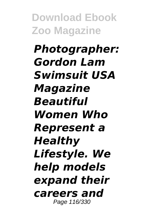*Photographer: Gordon Lam Swimsuit USA Magazine Beautiful Women Who Represent a Healthy Lifestyle. We help models expand their careers and* Page 116/330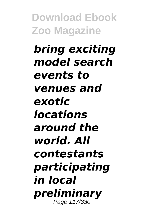*bring exciting model search events to venues and exotic locations around the world. All contestants participating in local preliminary* Page 117/330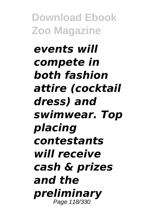## *events will compete in both fashion attire (cocktail dress) and swimwear. Top placing contestants will receive cash & prizes and the preliminary* Page 118/330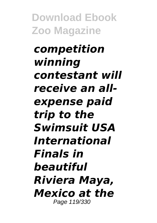*competition winning contestant will receive an allexpense paid trip to the Swimsuit USA International Finals in beautiful Riviera Maya, Mexico at the* Page 119/330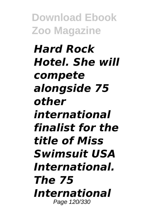*Hard Rock Hotel. She will compete alongside 75 other international finalist for the title of Miss Swimsuit USA International. The 75 International* Page 120/330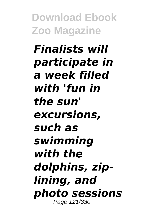*Finalists will participate in a week filled with 'fun in the sun' excursions, such as swimming with the dolphins, ziplining, and photo sessions* Page 121/330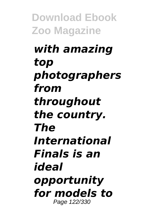## *with amazing top photographers from throughout the country. The International Finals is an ideal opportunity for models to* Page 122/330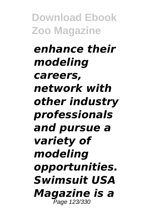*enhance their modeling careers, network with other industry professionals and pursue a variety of modeling opportunities. Swimsuit USA Magazine is a* Page 123/330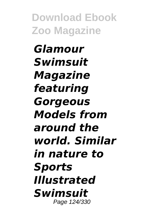*Glamour Swimsuit Magazine featuring Gorgeous Models from around the world. Similar in nature to Sports Illustrated Swimsuit* Page 124/330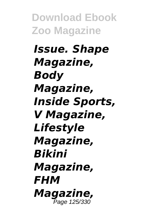*Issue. Shape Magazine, Body Magazine, Inside Sports, V Magazine, Lifestyle Magazine, Bikini Magazine, FHM Magazine,* Page 125/330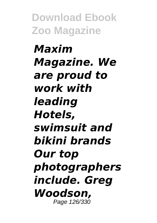*Maxim Magazine. We are proud to work with leading Hotels, swimsuit and bikini brands Our top photographers include. Greg Woodson,* Page 126/330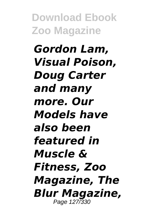*Gordon Lam, Visual Poison, Doug Carter and many more. Our Models have also been featured in Muscle & Fitness, Zoo Magazine, The Blur Magazine,* Page 127/330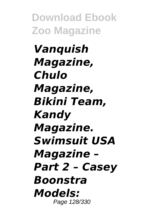*Vanquish Magazine, Chulo Magazine, Bikini Team, Kandy Magazine. Swimsuit USA Magazine – Part 2 – Casey Boonstra Models:* Page 128/330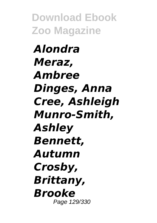*Alondra Meraz, Ambree Dinges, Anna Cree, Ashleigh Munro-Smith, Ashley Bennett, Autumn Crosby, Brittany, Brooke* Page 129/330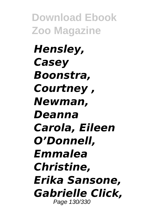*Hensley, Casey Boonstra, Courtney , Newman, Deanna Carola, Eileen O'Donnell, Emmalea Christine, Erika Sansone, Gabrielle Click,* Page 130/330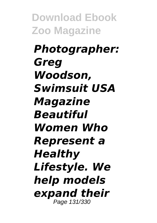*Photographer: Greg Woodson, Swimsuit USA Magazine Beautiful Women Who Represent a Healthy Lifestyle. We help models expand their* Page 131/330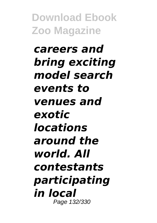*careers and bring exciting model search events to venues and exotic locations around the world. All contestants participating in local* Page 132/330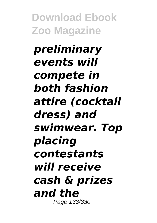*preliminary events will compete in both fashion attire (cocktail dress) and swimwear. Top placing contestants will receive cash & prizes and the* Page 133/330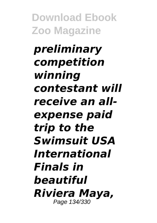*preliminary competition winning contestant will receive an allexpense paid trip to the Swimsuit USA International Finals in beautiful Riviera Maya,* Page 134/330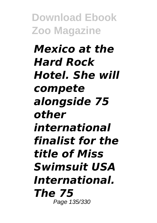*Mexico at the Hard Rock Hotel. She will compete alongside 75 other international finalist for the title of Miss Swimsuit USA International. The 75* Page 135/330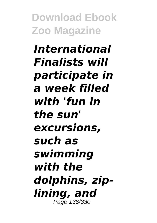*International Finalists will participate in a week filled with 'fun in the sun' excursions, such as swimming with the dolphins, ziplining, and* Page 136/330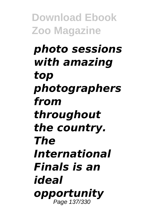## *photo sessions with amazing top photographers from throughout the country. The International Finals is an ideal opportunity* Page 137/330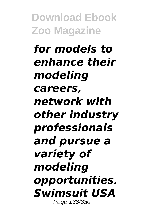*for models to enhance their modeling careers, network with other industry professionals and pursue a variety of modeling opportunities. Swimsuit USA* Page 138/330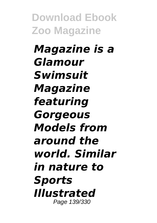*Magazine is a Glamour Swimsuit Magazine featuring Gorgeous Models from around the world. Similar in nature to Sports Illustrated* Page 139/330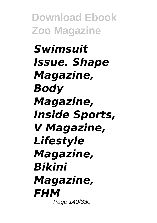*Swimsuit Issue. Shape Magazine, Body Magazine, Inside Sports, V Magazine, Lifestyle Magazine, Bikini Magazine, FHM* Page 140/330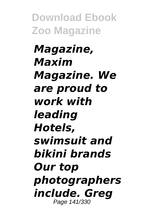*Magazine, Maxim Magazine. We are proud to work with leading Hotels, swimsuit and bikini brands Our top photographers include. Greg* Page 141/330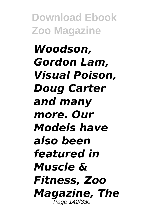*Woodson, Gordon Lam, Visual Poison, Doug Carter and many more. Our Models have also been featured in Muscle & Fitness, Zoo Magazine, The* Page 142/330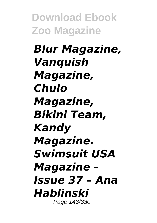*Blur Magazine, Vanquish Magazine, Chulo Magazine, Bikini Team, Kandy Magazine. Swimsuit USA Magazine – Issue 37 – Ana Hablinski* Page 143/330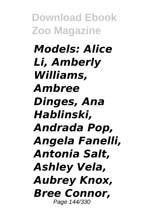*Models: Alice Li, Amberly Williams, Ambree Dinges, Ana Hablinski, Andrada Pop, Angela Fanelli, Antonia Salt, Ashley Vela, Aubrey Knox, Bree Connor,* Page 144/330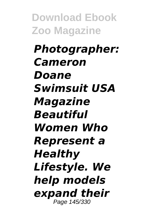*Photographer: Cameron Doane Swimsuit USA Magazine Beautiful Women Who Represent a Healthy Lifestyle. We help models expand their* Page 145/330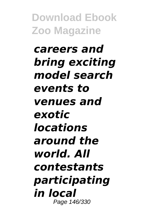*careers and bring exciting model search events to venues and exotic locations around the world. All contestants participating in local* Page 146/330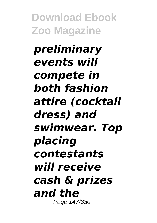*preliminary events will compete in both fashion attire (cocktail dress) and swimwear. Top placing contestants will receive cash & prizes and the* Page 147/330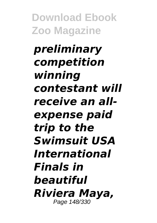*preliminary competition winning contestant will receive an allexpense paid trip to the Swimsuit USA International Finals in beautiful Riviera Maya,* Page 148/330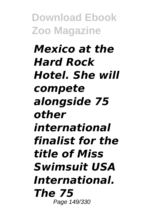*Mexico at the Hard Rock Hotel. She will compete alongside 75 other international finalist for the title of Miss Swimsuit USA International. The 75* Page 149/330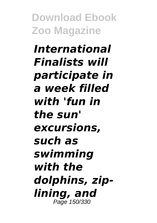*International Finalists will participate in a week filled with 'fun in the sun' excursions, such as swimming with the dolphins, ziplining, and* Page 150/330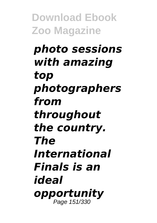#### *photo sessions with amazing top photographers from throughout the country. The International Finals is an ideal opportunity* Page 151/330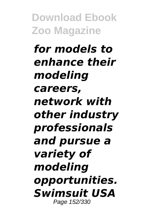*for models to enhance their modeling careers, network with other industry professionals and pursue a variety of modeling opportunities. Swimsuit USA* Page 152/330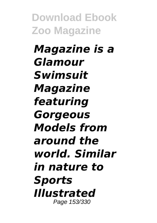*Magazine is a Glamour Swimsuit Magazine featuring Gorgeous Models from around the world. Similar in nature to Sports Illustrated* Page 153/330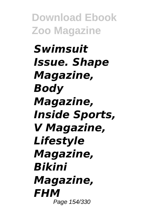*Swimsuit Issue. Shape Magazine, Body Magazine, Inside Sports, V Magazine, Lifestyle Magazine, Bikini Magazine, FHM* Page 154/330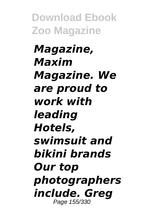*Magazine, Maxim Magazine. We are proud to work with leading Hotels, swimsuit and bikini brands Our top photographers include. Greg* Page 155/330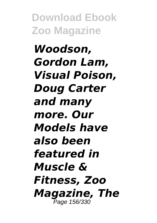*Woodson, Gordon Lam, Visual Poison, Doug Carter and many more. Our Models have also been featured in Muscle & Fitness, Zoo Magazine, The* Page 156/330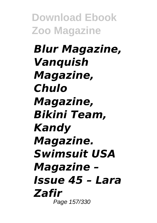*Blur Magazine, Vanquish Magazine, Chulo Magazine, Bikini Team, Kandy Magazine. Swimsuit USA Magazine – Issue 45 – Lara Zafir* Page 157/330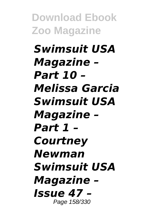*Swimsuit USA Magazine – Part 10 – Melissa Garcia Swimsuit USA Magazine – Part 1 – Courtney Newman Swimsuit USA Magazine – Issue 47 –* Page 158/330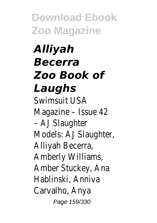*Alliyah Becerra Zoo Book of Laughs* Swimsuit USA Magazine – Issue 42 – AJ Slaughter Models: AJ Slaughte Alliyah Becerra, Amberly Williams, Amber Stuckey, Ana Hablinski, Anniva Carvalho, Anya Page 159/330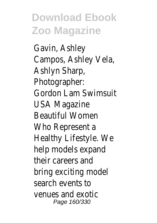Gavin, Ashley Campos, Ashley Vela Ashlyn Sharp, Photographer: Gordon Lam Swimsu USA Magazine Beautiful Women Who Represent a Healthy Lifestyle. W help models expand their careers and bring exciting model search events to venues and exotic Page 160/330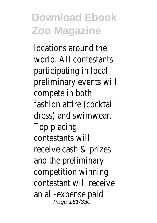locations around th world. All contestar participating in loca preliminary events \ compete in both fashion attire (cock dress) and swimwe Top placing contestants will receive cash & prize and the preliminary competition winning contestant will rece an all-expense paid Page 161/330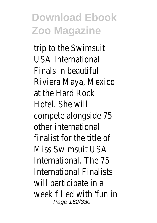trip to the Swimsui USA International Finals in beautiful Riviera Maya, Mexic at the Hard Rock Hotel. She will compete alongside other international finalist for the title Miss Swimsuit USA International. The 7 International Finalist will participate in a week filled with 'fu Page 162/330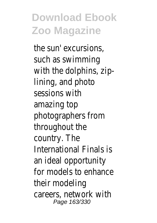the sun' excursions, such as swimming with the dolphins,  $z$ lining, and photo sessions with amazing top photographers from throughout the country. The International Finals an ideal opportunity for models to enhance their modeling careers, network w Page 163/330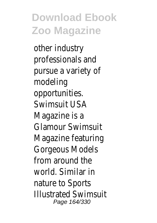other industry professionals and pursue a variety of modeling opportunities. Swimsuit USA Magazine is a Glamour Swimsuit Magazine featuring Gorgeous Models from around the world. Similar in nature to Sports Illustrated Swimsuit Page 164/330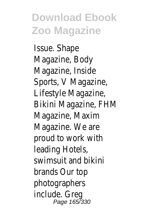Issue. Shape Magazine, Body Magazine, Inside Sports, V Magazine, Lifestyle Magazine, Bikini Magazine, FHM Magazine, Maxim Magazine. We are proud to work with leading Hotels, swimsuit and bikini brands Our top photographers include. Greg Page 165/330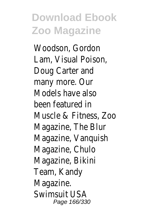Woodson, Gordon Lam, Visual Poison, Doug Carter and many more. Our Models have also been featured in Muscle & Fitness, 2 Magazine, The Blur Magazine, Vanquish Magazine, Chulo Magazine, Bikini Team, Kandy Magazine. Swimsuit USA Page 166/330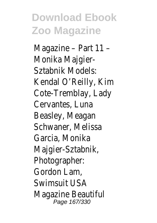Magazine – Part 11 – Monika Majgier-Sztabnik Models: Kendal O'Reilly, Kim Cote-Tremblay, Lady Cervantes, Luna Beasley, Meagan Schwaner, Melissa Garcia, Monika Majgier-Sztabnik, Photographer: Gordon Lam, Swimsuit USA Magazine Beautiful Page 167/330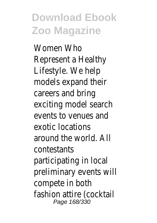Women Who Represent a Healthy Lifestyle. We help models expand their careers and bring exciting model sear events to venues a exotic locations around the world. A contestants participating in local preliminary events \ compete in both fashion attire (cock Page 168/330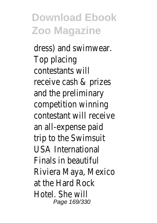dress) and swimwe Top placing contestants will receive cash & prize and the preliminary competition winning contestant will rece an all-expense paid trip to the Swimsui USA International Finals in beautiful Riviera Maya, Mexic at the Hard Rock Hotel. She will Page 169/330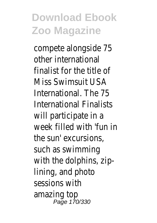compete alongside other international finalist for the title Miss Swimsuit USA International. The 7 International Finalist will participate in a week filled with 'fu the sun' excursions, such as swimming with the dolphins,  $z$ lining, and photo sessions with amazing top Page 170/330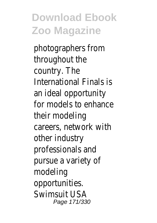photographers from throughout the country. The International Finals an ideal opportunity for models to enhar their modeling careers, network w other industry professionals and pursue a variety of modeling opportunities. Swimsuit USA Page 171/330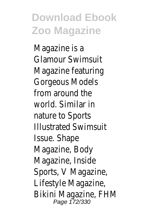Magazine is a Glamour Swimsuit Magazine featuring Gorgeous Models from around the world. Similar in nature to Sports Illustrated Swimsuit Issue. Shape Magazine, Body Magazine, Inside Sports, V Magazine, Lifestyle Magazine, Bikini Magazine, FHN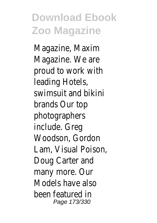Magazine, Maxim Magazine. We are proud to work with leading Hotels, swimsuit and bikini brands Our top photographers include. Greg Woodson, Gordon Lam, Visual Poison, Doug Carter and many more. Our Models have also been featured in Page 173/330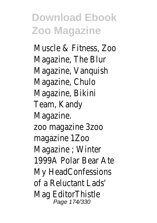Muscle & Fitness, Z Magazine, The Blur Magazine, Vanquish Magazine, Chulo Magazine, Bikini Team, Kandy Magazine. zoo magazine 3zoo magazine 1Zoo Magazine ; Winter 1999A Polar Bear A My HeadConfession of a Reluctant Lads' Mag EditorThistle Page 174/330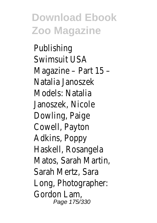Publishing Swimsuit USA Magazine – Part 15 – Natalia Janoszek Models: Natalia Janoszek, Nicole Dowling, Paige Cowell, Payton Adkins, Poppy Haskell, Rosangela Matos, Sarah Marti Sarah Mertz, Sara Long, Photographer: Gordon Lam, Page 175/330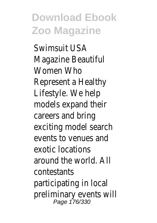Swimsuit USA Magazine Beautiful Women Who Represent a Healthy Lifestyle. We help models expand their careers and bring exciting model seare events to venues a exotic locations around the world. A contestants participating in loca preliminary events \ Page 176/330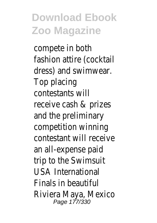compete in both fashion attire (cock dress) and swimwe Top placing contestants will receive cash & prize and the preliminary competition winning contestant will rece an all-expense paid trip to the Swimsui USA International Finals in beautiful Riviera Maya, Mexic Page 177/330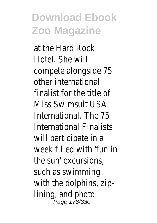at the Hard Rock Hotel. She will compete alongside other international finalist for the title Miss Swimsuit USA International. The 7 International Finalist will participate in a week filled with 'fu the sun' excursions, such as swimming with the dolphins,  $z$ lining, and photo Page 178/330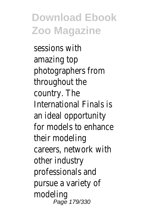sessions with amazing top photographers from throughout the country. The International Finals an ideal opportunity for models to enhance their modeling careers, network w other industry professionals and pursue a variety of modeling Page 179/330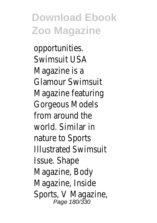opportunities. Swimsuit USA Magazine is a Glamour Swimsuit Magazine featuring Gorgeous Models from around the world. Similar in nature to Sports Illustrated Swimsuit Issue. Shape Magazine, Body Magazine, Inside Sports, V Magazine, Page 180/330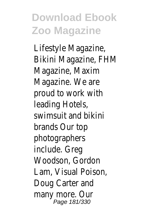Lifestyle Magazine, Bikini Magazine, FHM Magazine, Maxim Magazine. We are proud to work with leading Hotels, swimsuit and bikini brands Our top photographers include. Greg Woodson, Gordon Lam, Visual Poison, Doug Carter and many more. Our Page 181/330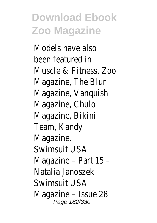Models have also been featured in Muscle & Fitness, Zoo Magazine, The Blur Magazine, Vanquish Magazine, Chulo Magazine, Bikini Team, Kandy Magazine. Swimsuit USA Magazine – Part 15 – Natalia Janoszek Swimsuit USA Magazine – Issue 28 Page 182/330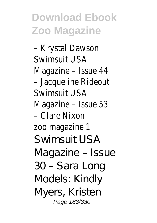– Krystal Dawson Swimsuit USA Magazine – Issue 44 – Jacqueline Rideout Swimsuit USA Magazine – Issue 53 – Clare Nixon zoo magazine 1 Swimsuit USA Magazine – Issue 30 – Sara Long Models: Kindly Myers, Kristen Page 183/330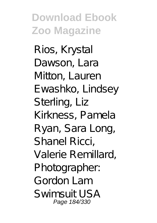Rios, Krystal Dawson, Lara Mitton, Lauren Ewashko, Lindsey Sterling, Liz Kirkness, Pamela Ryan, Sara Long, Shanel Ricci, Valerie Remillard, Photographer: Gordon Lam Swimsuit USA Page 184/330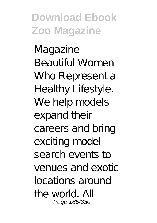Magazine Beautiful Women Who Represent a Healthy Lifestyle. We help models expand their careers and bring exciting model search events to venues and exotic locations around the world. All Page 185/330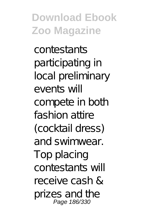contestants participating in local preliminary events will compete in both fashion attire (cocktail dress) and swimwear. Top placing contestants will receive cash & prizes and the Page 186/330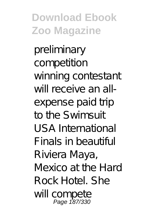preliminary competition winning contestant will receive an allexpense paid trip to the Swimsuit USA International Finals in beautiful Riviera Maya, Mexico at the Hard Rock Hotel. She will compete Page 187/330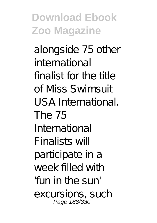alongside 75 other international finalist for the title of Miss Swimsuit USA International. The 75 International Finalists will participate in a week filled with 'fun in the sun' excursions, such Page 188/330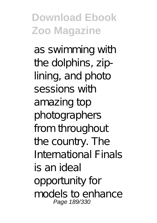as swimming with the dolphins, ziplining, and photo sessions with amazing top photographers from throughout the country. The International Finals is an ideal opportunity for models to enhance Page 189/330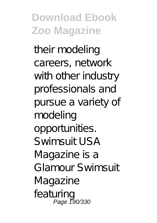their modeling careers, network with other industry professionals and pursue a variety of modeling opportunities. Swimsuit USA Magazine is a Glamour Swimsuit Magazine featuring Page 190/330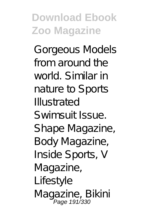Gorgeous Models from around the world. Similar in nature to Sports Illustrated Swimsuit Issue. Shape Magazine, Body Magazine, Inside Sports, V Magazine, Lifestyle Magazine, Bikini Page 191/330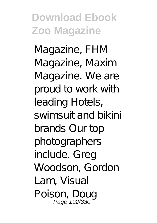Magazine, FHM Magazine, Maxim Magazine. We are proud to work with leading Hotels, swimsuit and bikini brands Our top photographers include. Greg Woodson, Gordon Lam, Visual Poison, Doug Page 192/330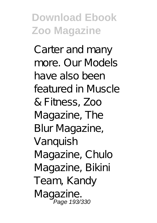Carter and many more. Our Models have also been featured in Muscle & Fitness, Zoo Magazine, The Blur Magazine, Vanquish Magazine, Chulo Magazine, Bikini Team, Kandy Magazine. Page 193/330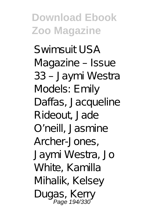Swimsuit USA Magazine – Issue 33 – Jaymi Westra Models: Emily Daffas, Jacqueline Rideout, Jade O'neill, Jasmine Archer-Jones, Jaymi Westra, Jo White, Kamilla Mihalik, Kelsey Dugas, Kerry Page 194/330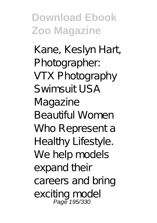Kane, Keslyn Hart, Photographer: VTX Photography Swimsuit USA Magazine Beautiful Women Who Represent a Healthy Lifestyle. We help models expand their careers and bring exciting model Page 195/330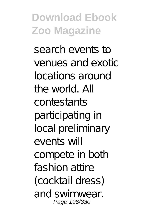search events to venues and exotic locations around the world. All contestants participating in local preliminary events will compete in both fashion attire (cocktail dress) and swimwear. Page 196/330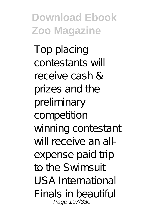Top placing contestants will receive cash & prizes and the preliminary competition winning contestant will receive an allexpense paid trip to the Swimsuit USA International Finals in beautiful Page 197/330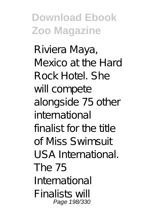Riviera Maya, Mexico at the Hard Rock Hotel. She will compete alongside 75 other international finalist for the title of Miss Swimsuit USA International. The 75 International Finalists will Page 198/330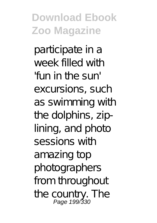participate in a week filled with 'fun in the sun' excursions, such as swimming with the dolphins, ziplining, and photo sessions with amazing top photographers from throughout the country. The<br> **Page 199/330**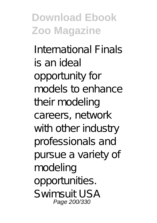International Finals is an ideal opportunity for models to enhance their modeling careers, network with other industry professionals and pursue a variety of modeling opportunities. Swimsuit USA Page 200/330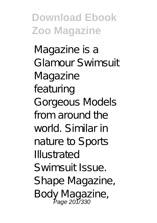Magazine is a Glamour Swimsuit Magazine featuring Gorgeous Models from around the world. Similar in nature to Sports Illustrated Swimsuit Issue. Shape Magazine, Body Magazine, Page 201/330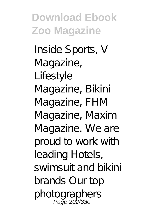Inside Sports, V Magazine, Lifestyle Magazine, Bikini Magazine, FHM Magazine, Maxim Magazine. We are proud to work with leading Hotels, swimsuit and bikini brands Our top photographers Page 202/330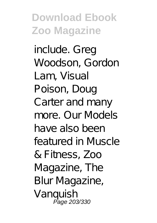include. Greg Woodson, Gordon Lam, Visual Poison, Doug Carter and many more. Our Models have also been featured in Muscle & Fitness, Zoo Magazine, The Blur Magazine, Vanquish<br>Page 203/330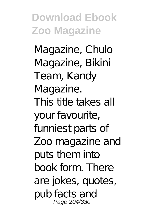Magazine, Chulo Magazine, Bikini Team, Kandy Magazine. This title takes all your favourite, funniest parts of Zoo magazine and puts them into book form. There are jokes, quotes, pub facts and Page 204/330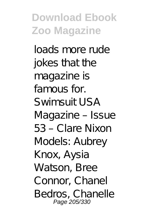loads more rude jokes that the magazine is famous for. Swimsuit USA Magazine – Issue 53 – Clare Nixon Models: Aubrey Knox, Aysia Watson, Bree Connor, Chanel Bedros, Chanelle Page 205/330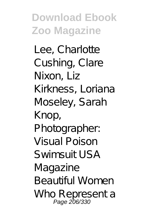Lee, Charlotte Cushing, Clare Nixon, Liz Kirkness, Loriana Moseley, Sarah Knop, Photographer: Visual Poison  $S$ *wimsuit*  $USA$ Magazine Beautiful Women Who Representa<br>Page 206/330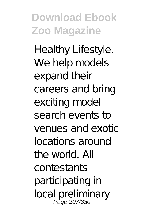Healthy Lifestyle. We help models expand their careers and bring exciting model search events to venues and exotic locations around the world. All contestants participating in local preliminary Page 207/330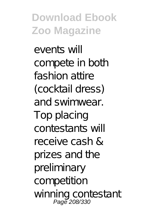events will compete in both fashion attire (cocktail dress) and swimwear. Top placing contestants will receive cash & prizes and the preliminary competition winning contestant Page 208/330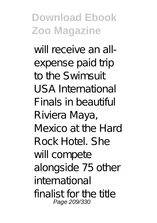will receive an allexpense paid trip to the Swimsuit USA International Finals in beautiful Riviera Maya, Mexico at the Hard Rock Hotel. She will compete alongside 75 other international finalist for the title Page 209/330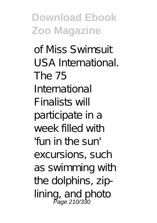of Miss Swimsuit USA International. The 75 International Finalists will participate in a week filled with 'fun in the sun' excursions, such as swimming with the dolphins, ziplining, and photo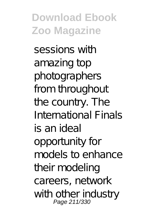sessions with amazing top photographers from throughout the country. The International Finals is an ideal opportunity for models to enhance their modeling careers, network with other industry<br>Page 211/330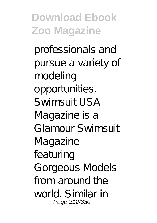professionals and pursue a variety of modeling opportunities. Swimsuit USA Magazine is a Glamour Swimsuit Magazine featuring Gorgeous Models from around the world. Similar in Page 212/330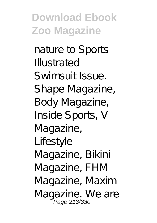nature to Sports Illustrated Swimsuit Issue. Shape Magazine, Body Magazine, Inside Sports, V Magazine, Lifestyle Magazine, Bikini Magazine, FHM Magazine, Maxim Magazine. We are<br>Page 213/330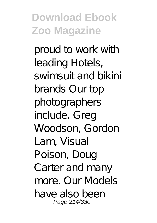proud to work with leading Hotels, swimsuit and bikini brands Our top photographers include. Greg Woodson, Gordon Lam, Visual Poison, Doug Carter and many more. Our Models have also been Page 214/330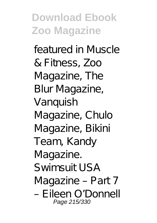featured in Muscle & Fitness, Zoo Magazine, The Blur Magazine, Vanquish Magazine, Chulo Magazine, Bikini Team, Kandy Magazine. Swimsuit USA Magazine – Part 7 – Eileen O'Donnell Page 215/330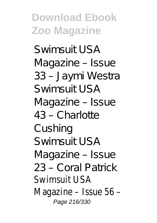Swimsuit USA Magazine – Issue 33 – Jaymi Westra Swimsuit USA Magazine – Issue 43 – Charlotte Cushing Swimsuit USA Magazine – Issue 23 – Coral Patrick Swimsuit USA Magazine – Issue 56 – Page 216/330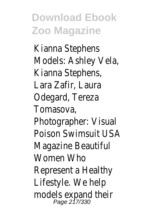Kianna Stephens Models: Ashley Vela, Kianna Stephens, Lara Zafir, Laura Odegard, Tereza Tomasova, Photographer: Visual Poison Swimsuit USA Magazine Beautiful Women Who Represent a Healthy Lifestyle. We help models expand their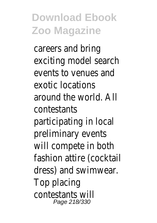careers and bring exciting model search events to venues and exotic locations around the world. All contestants participating in local preliminary events will compete in both fashion attire (cocktail dress) and swimwear. Top placing contestants will Page 218/330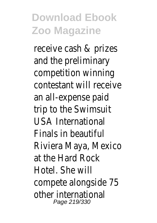receive cash & prizes and the preliminary competition winning contestant will receive an all-expense paid trip to the Swimsuit USA International Finals in beautiful Riviera Maya, Mexico at the Hard Rock Hotel. She will compete alongside 75 other international Page 219/330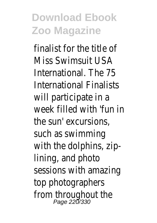finalist for the title of Miss Swimsuit USA International. The 75 International Finalists will participate in a week filled with 'fun in the sun' excursions, such as swimming with the dolphins, ziplining, and photo sessions with amazing top photographers from throughout the Page 220/330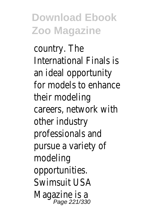country. The International Finals is an ideal opportunity for models to enhance their modeling careers, network with other industry professionals and pursue a variety of modeling opportunities. Swimsuit USA Magazine is a<br>Page 221/330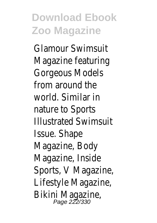Glamour Swimsuit Magazine featuring Gorgeous Models from around the world. Similar in nature to Sports Illustrated Swimsuit Issue. Shape Magazine, Body Magazine, Inside Sports, V Magazine, Lifestyle Magazine, Bikini Magazine,<br>Page 222/330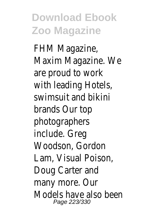FHM Magazine, Maxim Magazine. We are proud to work with leading Hotels, swimsuit and bikini brands Our top photographers include. Greg Woodson, Gordon Lam, Visual Poison, Doug Carter and many more. Our Models have also been Page 223/330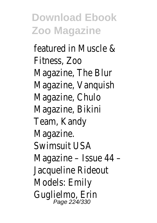featured in Muscle & Fitness, Zoo Magazine, The Blur Magazine, Vanquish Magazine, Chulo Magazine, Bikini Team, Kandy Magazine. Swimsuit USA Magazine – Issue 44 – Jacqueline Rideout Models: Emily Guglielmo, Erin Page 224/330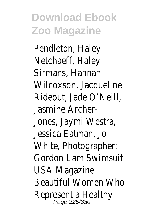Pendleton, Haley Netchaeff, Haley Sirmans, Hannah Wilcoxson, Jacqueline Rideout, Jade O'Neill, Jasmine Archer-Jones, Jaymi Westra, Jessica Eatman, Jo White, Photographer: Gordon Lam Swimsuit USA Magazine Beautiful Women Who Represent a Healthy Page 225/330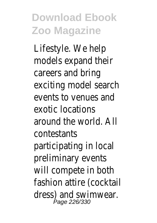Lifestyle. We help models expand their careers and bring exciting model search events to venues and exotic locations around the world. All contestants participating in local preliminary events will compete in both fashion attire (cocktail dress) and swimwear. Page 226/330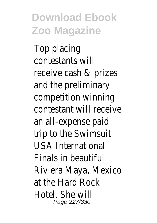Top placing contestants will receive cash & prizes and the preliminary competition winning contestant will receive an all-expense paid trip to the Swimsuit USA International Finals in beautiful Riviera Maya, Mexico at the Hard Rock Hotel. She will Page 227/330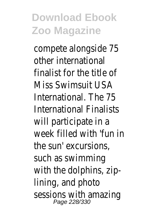compete alongside 75 other international finalist for the title of Miss Swimsuit USA International. The 75 International Finalists will participate in a week filled with 'fun in the sun' excursions, such as swimming with the dolphins, ziplining, and photo sessions with amazing Page 228/330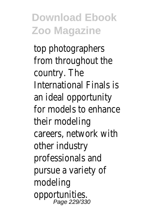top photographers from throughout the country. The International Finals is an ideal opportunity for models to enhance their modeling careers, network with other industry professionals and pursue a variety of modeling opportunities. Page 229/330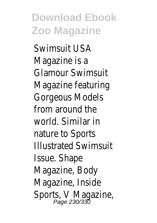Swimsuit USA Magazine is a Glamour Swimsuit Magazine featuring Gorgeous Models from around the world. Similar in nature to Sports Illustrated Swimsuit Issue. Shape Magazine, Body Magazine, Inside Sports, V Magazine,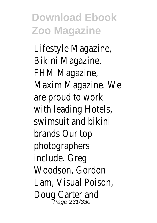Lifestyle Magazine, Bikini Magazine, FHM Magazine, Maxim Magazine. We are proud to work with leading Hotels, swimsuit and bikini brands Our top photographers include. Greg Woodson, Gordon Lam, Visual Poison, Doug Carter and<br>Page 231/330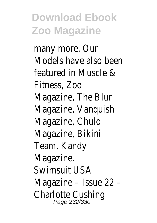many more. Our Models have also been featured in Muscle & Fitness, Zoo Magazine, The Blur Magazine, Vanquish Magazine, Chulo Magazine, Bikini Team, Kandy Magazine. Swimsuit USA Magazine – Issue 22 – Charlotte Cushing Page 232/330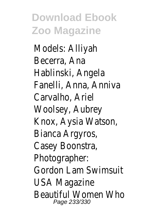Models: Alliyah Becerra, Ana Hablinski, Angela Fanelli, Anna, Anniva Carvalho, Ariel Woolsey, Aubrey Knox, Aysia Watson, Bianca Argyros, Casey Boonstra, Photographer: Gordon Lam Swimsuit USA Magazine Beautiful Women Who Page 233/330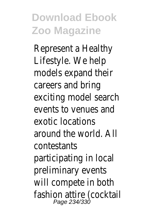Represent a Healthy Lifestyle. We help models expand their careers and bring exciting model search events to venues and exotic locations around the world. All contestants participating in local preliminary events will compete in both fashion attire (cocktail Page 234/330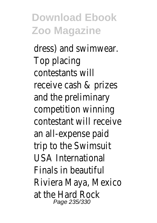dress) and swimwear. Top placing contestants will receive cash & prizes and the preliminary competition winning contestant will receive an all-expense paid trip to the Swimsuit USA International Finals in beautiful Riviera Maya, Mexico at the Hard Rock Page 235/330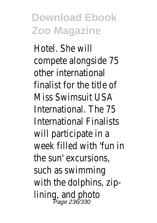Hotel. She will compete alongside 75 other international finalist for the title of Miss Swimsuit USA International. The 75 International Finalists will participate in a week filled with 'fun in the sun' excursions, such as swimming with the dolphins, ziplining, and photo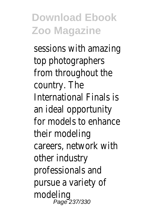sessions with amazing top photographers from throughout the country. The International Finals is an ideal opportunity for models to enhance their modeling careers, network with other industry professionals and pursue a variety of modeling Page 237/330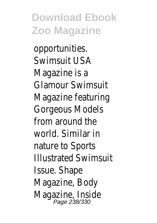opportunities. Swimsuit USA Magazine is a Glamour Swimsuit Magazine featuring Gorgeous Models from around the world. Similar in nature to Sports Illustrated Swimsuit Issue. Shape Magazine, Body Magazine, Inside<br>Page 238/330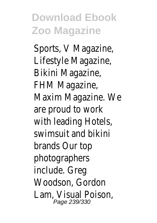Sports, V Magazine, Lifestyle Magazine, Bikini Magazine, FHM Magazine, Maxim Magazine. We are proud to work with leading Hotels, swimsuit and bikini brands Our top photographers include. Greg Woodson, Gordon Lam, Visual Poison, Page 239/330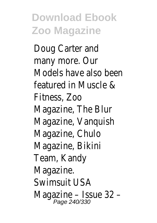Doug Carter and many more. Our Models have also been featured in Muscle & Fitness, Zoo Magazine, The Blur Magazine, Vanquish Magazine, Chulo Magazine, Bikini Team, Kandy Magazine. Swimsuit USA Magazine – Issue 32 -<br>Page 240/330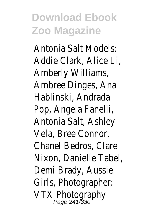Antonia Salt Models: Addie Clark, Alice Li, Amberly Williams, Ambree Dinges, Ana Hablinski, Andrada Pop, Angela Fanelli, Antonia Salt, Ashley Vela, Bree Connor, Chanel Bedros, Clare Nixon, Danielle Tabel, Demi Brady, Aussie Girls, Photographer: VTX Photography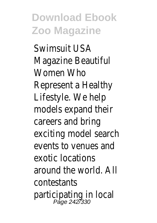Swimsuit USA Magazine Beautiful Women Who Represent a Healthy Lifestyle. We help models expand their careers and bring exciting model search events to venues and exotic locations around the world. All contestants participating in local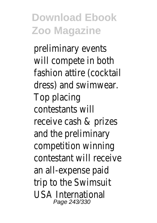preliminary events will compete in both fashion attire (cocktail dress) and swimwear. Top placing contestants will receive cash & prizes and the preliminary competition winning contestant will receive an all-expense paid trip to the Swimsuit USA International Page 243/330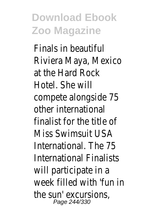Finals in beautiful Riviera Maya, Mexico at the Hard Rock Hotel. She will compete alongside 75 other international finalist for the title of Miss Swimsuit USA International. The 75 International Finalists will participate in a week filled with 'fun in the sun' excursions, Page 244/330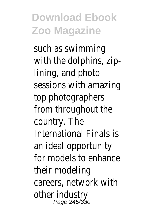such as swimming with the dolphins, ziplining, and photo sessions with amazing top photographers from throughout the country. The International Finals is an ideal opportunity for models to enhance their modeling careers, network with other industry Page 245/330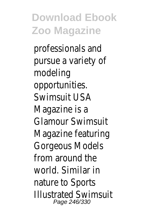professionals and pursue a variety of modeling opportunities. Swimsuit USA Magazine is a Glamour Swimsuit Magazine featuring Gorgeous Models from around the world. Similar in nature to Sports Illustrated Swimsuit Page 246/330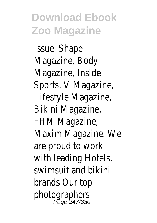Issue. Shape Magazine, Body Magazine, Inside Sports, V Magazine, Lifestyle Magazine, Bikini Magazine, FHM Magazine, Maxim Magazine. We are proud to work with leading Hotels, swimsuit and bikini brands Our top photographers Page 247/330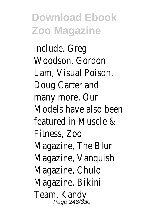include. Greg Woodson, Gordon Lam, Visual Poison, Doug Carter and many more. Our Models have also been featured in Muscle & Fitness, Zoo Magazine, The Blur Magazine, Vanquish Magazine, Chulo Magazine, Bikini Team, Kandy<br>Page 248/330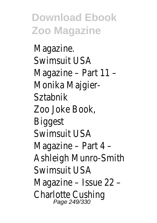Magazine. Swimsuit USA Magazine – Part 11 – Monika Maigier-Sztabnik Zoo Joke Book, **Biggest** Swimsuit USA Magazine – Part 4 – Ashleigh Munro-Smith Swimsuit USA Magazine – Issue 22 – Charlotte Cushing Page 249/330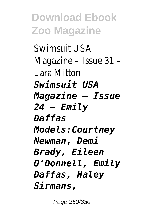Swimsuit USA Magazine – Issue 31 – Lara Mitton *Swimsuit USA Magazine – Issue 24 – Emily Daffas Models:Courtney Newman, Demi Brady, Eileen O'Donnell, Emily Daffas, Haley Sirmans,*

Page 250/330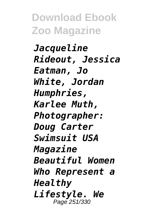*Jacqueline Rideout, Jessica Eatman, Jo White, Jordan Humphries, Karlee Muth, Photographer: Doug Carter Swimsuit USA Magazine Beautiful Women Who Represent a Healthy Lifestyle. We* Page 251/330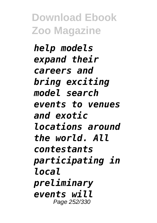*help models expand their careers and bring exciting model search events to venues and exotic locations around the world. All contestants participating in local preliminary events will* Page 252/330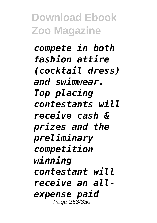*compete in both fashion attire (cocktail dress) and swimwear. Top placing contestants will receive cash & prizes and the preliminary competition winning contestant will receive an allexpense paid* Page 253/330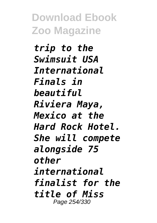*trip to the Swimsuit USA International Finals in beautiful Riviera Maya, Mexico at the Hard Rock Hotel. She will compete alongside 75 other international finalist for the title of Miss* Page 254/330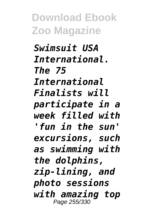*Swimsuit USA International. The 75 International Finalists will participate in a week filled with 'fun in the sun' excursions, such as swimming with the dolphins, zip-lining, and photo sessions with amazing top* Page 255/330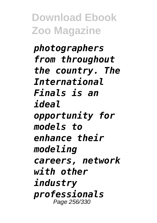*photographers from throughout the country. The International Finals is an ideal opportunity for models to enhance their modeling careers, network with other industry professionals* Page 256/330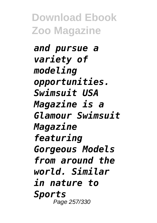*and pursue a variety of modeling opportunities. Swimsuit USA Magazine is a Glamour Swimsuit Magazine featuring Gorgeous Models from around the world. Similar in nature to Sports* Page 257/330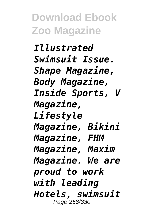*Illustrated Swimsuit Issue. Shape Magazine, Body Magazine, Inside Sports, V Magazine, Lifestyle Magazine, Bikini Magazine, FHM Magazine, Maxim Magazine. We are proud to work with leading Hotels, swimsuit* Page 258/330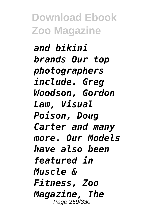*and bikini brands Our top photographers include. Greg Woodson, Gordon Lam, Visual Poison, Doug Carter and many more. Our Models have also been featured in Muscle & Fitness, Zoo Magazine, The* Page 259/330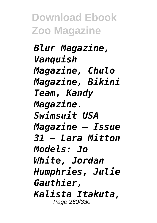*Blur Magazine, Vanquish Magazine, Chulo Magazine, Bikini Team, Kandy Magazine. Swimsuit USA Magazine – Issue 31 – Lara Mitton Models: Jo White, Jordan Humphries, Julie Gauthier, Kalista Itakuta,* Page 260/330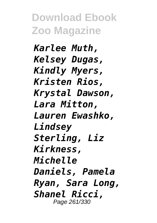*Karlee Muth, Kelsey Dugas, Kindly Myers, Kristen Rios, Krystal Dawson, Lara Mitton, Lauren Ewashko, Lindsey Sterling, Liz Kirkness, Michelle Daniels, Pamela Ryan, Sara Long, Shanel Ricci,* Page 261/330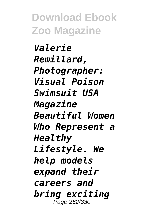*Valerie Remillard, Photographer: Visual Poison Swimsuit USA Magazine Beautiful Women Who Represent a Healthy Lifestyle. We help models expand their careers and bring exciting* Page 262/330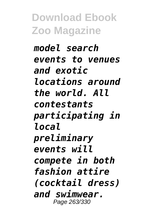*model search events to venues and exotic locations around the world. All contestants participating in local preliminary events will compete in both fashion attire (cocktail dress) and swimwear.* Page 263/330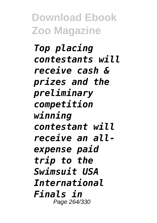*Top placing contestants will receive cash & prizes and the preliminary competition winning contestant will receive an allexpense paid trip to the Swimsuit USA International Finals in* Page 264/330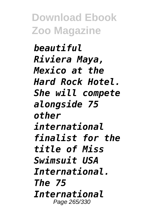*beautiful Riviera Maya, Mexico at the Hard Rock Hotel. She will compete alongside 75 other international finalist for the title of Miss Swimsuit USA International. The 75 International* Page 265/330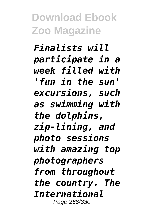*Finalists will participate in a week filled with 'fun in the sun' excursions, such as swimming with the dolphins, zip-lining, and photo sessions with amazing top photographers from throughout the country. The International* Page 266/330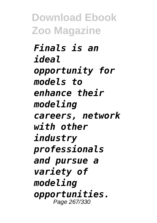*Finals is an ideal opportunity for models to enhance their modeling careers, network with other industry professionals and pursue a variety of modeling opportunities.* Page 267/330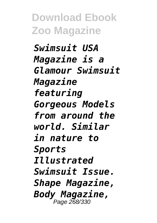*Swimsuit USA Magazine is a Glamour Swimsuit Magazine featuring Gorgeous Models from around the world. Similar in nature to Sports Illustrated Swimsuit Issue. Shape Magazine, Body Magazine,* Page 268/330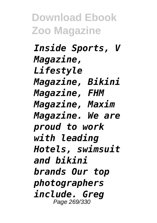*Inside Sports, V Magazine, Lifestyle Magazine, Bikini Magazine, FHM Magazine, Maxim Magazine. We are proud to work with leading Hotels, swimsuit and bikini brands Our top photographers include. Greg* Page 269/330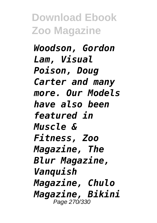*Woodson, Gordon Lam, Visual Poison, Doug Carter and many more. Our Models have also been featured in Muscle & Fitness, Zoo Magazine, The Blur Magazine, Vanquish Magazine, Chulo Magazine, Bikini* Page 270/330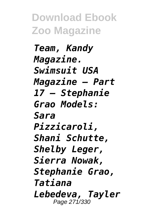*Team, Kandy Magazine. Swimsuit USA Magazine – Part 17 – Stephanie Grao Models: Sara Pizzicaroli, Shani Schutte, Shelby Leger, Sierra Nowak, Stephanie Grao, Tatiana Lebedeva, Tayler* Page 271/330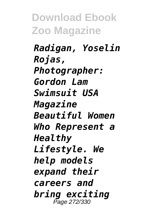*Radigan, Yoselin Rojas, Photographer: Gordon Lam Swimsuit USA Magazine Beautiful Women Who Represent a Healthy Lifestyle. We help models expand their careers and bring exciting* Page 272/330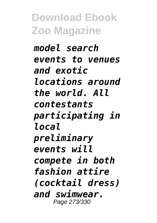*model search events to venues and exotic locations around the world. All contestants participating in local preliminary events will compete in both fashion attire (cocktail dress) and swimwear.* Page 273/330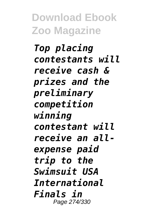*Top placing contestants will receive cash & prizes and the preliminary competition winning contestant will receive an allexpense paid trip to the Swimsuit USA International Finals in* Page 274/330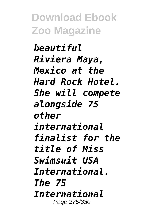*beautiful Riviera Maya, Mexico at the Hard Rock Hotel. She will compete alongside 75 other international finalist for the title of Miss Swimsuit USA International. The 75 International* Page 275/330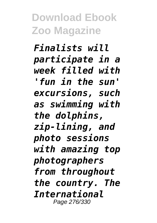*Finalists will participate in a week filled with 'fun in the sun' excursions, such as swimming with the dolphins, zip-lining, and photo sessions with amazing top photographers from throughout the country. The International* Page 276/330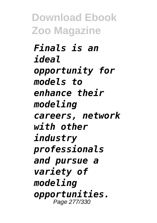*Finals is an ideal opportunity for models to enhance their modeling careers, network with other industry professionals and pursue a variety of modeling opportunities.* Page 277/330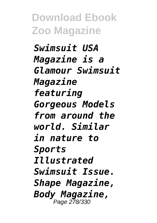*Swimsuit USA Magazine is a Glamour Swimsuit Magazine featuring Gorgeous Models from around the world. Similar in nature to Sports Illustrated Swimsuit Issue. Shape Magazine, Body Magazine,* Page 278/330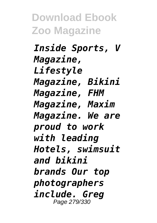*Inside Sports, V Magazine, Lifestyle Magazine, Bikini Magazine, FHM Magazine, Maxim Magazine. We are proud to work with leading Hotels, swimsuit and bikini brands Our top photographers include. Greg* Page 279/330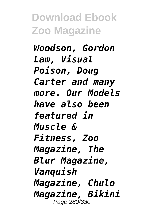*Woodson, Gordon Lam, Visual Poison, Doug Carter and many more. Our Models have also been featured in Muscle & Fitness, Zoo Magazine, The Blur Magazine, Vanquish Magazine, Chulo Magazine, Bikini* Page 280/330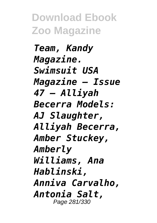*Team, Kandy Magazine. Swimsuit USA Magazine – Issue 47 – Alliyah Becerra Models: AJ Slaughter, Alliyah Becerra, Amber Stuckey, Amberly Williams, Ana Hablinski, Anniva Carvalho, Antonia Salt,* Page 281/330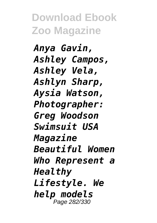*Anya Gavin, Ashley Campos, Ashley Vela, Ashlyn Sharp, Aysia Watson, Photographer: Greg Woodson Swimsuit USA Magazine Beautiful Women Who Represent a Healthy Lifestyle. We help models* Page 282/330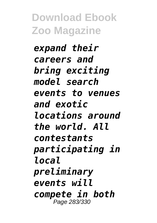*expand their careers and bring exciting model search events to venues and exotic locations around the world. All contestants participating in local preliminary events will compete in both* Page 283/330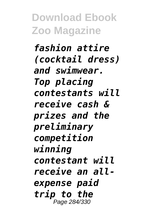*fashion attire (cocktail dress) and swimwear. Top placing contestants will receive cash & prizes and the preliminary competition winning contestant will receive an allexpense paid trip to the* Page 284/330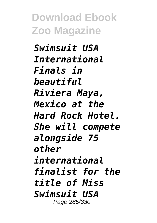*Swimsuit USA International Finals in beautiful Riviera Maya, Mexico at the Hard Rock Hotel. She will compete alongside 75 other international finalist for the title of Miss Swimsuit USA* Page 285/330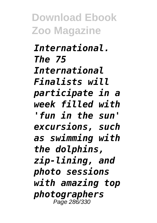*International. The 75 International Finalists will participate in a week filled with 'fun in the sun' excursions, such as swimming with the dolphins, zip-lining, and photo sessions with amazing top photographers* Page 286/330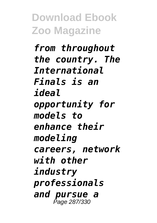*from throughout the country. The International Finals is an ideal opportunity for models to enhance their modeling careers, network with other industry professionals and pursue a* Page 287/330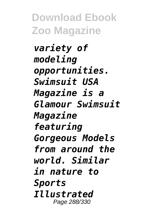*variety of modeling opportunities. Swimsuit USA Magazine is a Glamour Swimsuit Magazine featuring Gorgeous Models from around the world. Similar in nature to Sports Illustrated* Page 288/330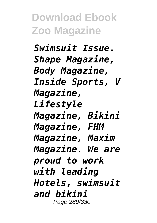*Swimsuit Issue. Shape Magazine, Body Magazine, Inside Sports, V Magazine, Lifestyle Magazine, Bikini Magazine, FHM Magazine, Maxim Magazine. We are proud to work with leading Hotels, swimsuit and bikini* Page 289/330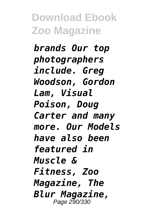*brands Our top photographers include. Greg Woodson, Gordon Lam, Visual Poison, Doug Carter and many more. Our Models have also been featured in Muscle & Fitness, Zoo Magazine, The Blur Magazine,* Page 290/330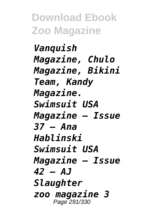*Vanquish Magazine, Chulo Magazine, Bikini Team, Kandy Magazine. Swimsuit USA Magazine – Issue 37 – Ana Hablinski Swimsuit USA Magazine – Issue 42 – AJ Slaughter zoo magazine 3* Page 291/330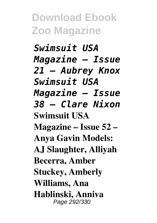*Swimsuit USA Magazine – Issue 21 – Aubrey Knox Swimsuit USA Magazine – Issue 38 – Clare Nixon* **Swimsuit USA Magazine – Issue 52 – Anya Gavin Models: AJ Slaughter, Alliyah Becerra, Amber Stuckey, Amberly Williams, Ana Hablinski, Anniva** Page 292/330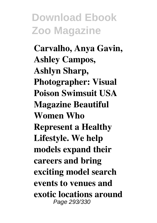**Carvalho, Anya Gavin, Ashley Campos, Ashlyn Sharp, Photographer: Visual Poison Swimsuit USA Magazine Beautiful Women Who Represent a Healthy Lifestyle. We help models expand their careers and bring exciting model search events to venues and exotic locations around** Page 293/330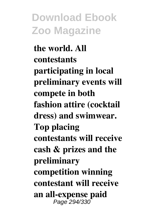**the world. All contestants participating in local preliminary events will compete in both fashion attire (cocktail dress) and swimwear. Top placing contestants will receive cash & prizes and the preliminary competition winning contestant will receive an all-expense paid** Page 294/330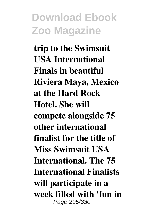**trip to the Swimsuit USA International Finals in beautiful Riviera Maya, Mexico at the Hard Rock Hotel. She will compete alongside 75 other international finalist for the title of Miss Swimsuit USA International. The 75 International Finalists will participate in a week filled with 'fun in** Page 295/330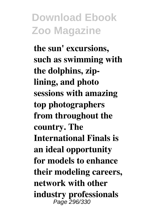**the sun' excursions, such as swimming with the dolphins, ziplining, and photo sessions with amazing top photographers from throughout the country. The International Finals is an ideal opportunity for models to enhance their modeling careers, network with other industry professionals** Page 296/330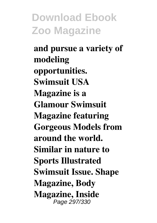**and pursue a variety of modeling opportunities. Swimsuit USA Magazine is a Glamour Swimsuit Magazine featuring Gorgeous Models from around the world. Similar in nature to Sports Illustrated Swimsuit Issue. Shape Magazine, Body Magazine, Inside** Page 297/330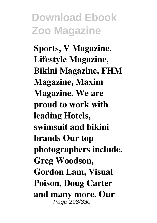**Sports, V Magazine, Lifestyle Magazine, Bikini Magazine, FHM Magazine, Maxim Magazine. We are proud to work with leading Hotels, swimsuit and bikini brands Our top photographers include. Greg Woodson, Gordon Lam, Visual Poison, Doug Carter and many more. Our** Page 298/330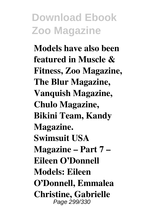**Models have also been featured in Muscle & Fitness, Zoo Magazine, The Blur Magazine, Vanquish Magazine, Chulo Magazine, Bikini Team, Kandy Magazine. Swimsuit USA Magazine – Part 7 – Eileen O'Donnell Models: Eileen O'Donnell, Emmalea Christine, Gabrielle** Page 299/330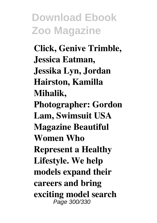**Click, Genive Trimble, Jessica Eatman, Jessika Lyn, Jordan Hairston, Kamilla Mihalik, Photographer: Gordon Lam, Swimsuit USA Magazine Beautiful Women Who Represent a Healthy Lifestyle. We help models expand their careers and bring exciting model search** Page 300/330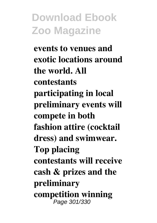**events to venues and exotic locations around the world. All contestants participating in local preliminary events will compete in both fashion attire (cocktail dress) and swimwear. Top placing contestants will receive cash & prizes and the preliminary competition winning** Page 301/330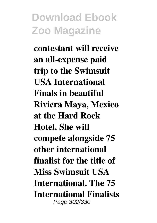**contestant will receive an all-expense paid trip to the Swimsuit USA International Finals in beautiful Riviera Maya, Mexico at the Hard Rock Hotel. She will compete alongside 75 other international finalist for the title of Miss Swimsuit USA International. The 75 International Finalists** Page 302/330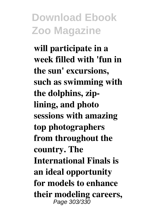**will participate in a week filled with 'fun in the sun' excursions, such as swimming with the dolphins, ziplining, and photo sessions with amazing top photographers from throughout the country. The International Finals is an ideal opportunity for models to enhance their modeling careers,** Page 303/330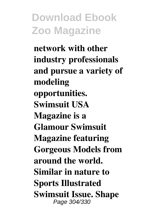**network with other industry professionals and pursue a variety of modeling opportunities. Swimsuit USA Magazine is a Glamour Swimsuit Magazine featuring Gorgeous Models from around the world. Similar in nature to Sports Illustrated Swimsuit Issue. Shape** Page 304/330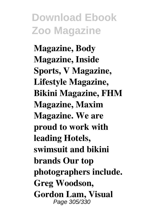**Magazine, Body Magazine, Inside Sports, V Magazine, Lifestyle Magazine, Bikini Magazine, FHM Magazine, Maxim Magazine. We are proud to work with leading Hotels, swimsuit and bikini brands Our top photographers include. Greg Woodson, Gordon Lam, Visual** Page 305/330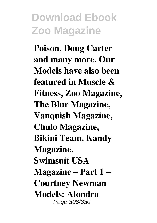**Poison, Doug Carter and many more. Our Models have also been featured in Muscle & Fitness, Zoo Magazine, The Blur Magazine, Vanquish Magazine, Chulo Magazine, Bikini Team, Kandy Magazine. Swimsuit USA Magazine – Part 1 – Courtney Newman Models: Alondra** Page 306/330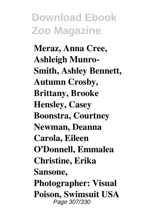**Meraz, Anna Cree, Ashleigh Munro-Smith, Ashley Bennett, Autumn Crosby, Brittany, Brooke Hensley, Casey Boonstra, Courtney Newman, Deanna Carola, Eileen O'Donnell, Emmalea Christine, Erika Sansone, Photographer: Visual Poison, Swimsuit USA** Page 307/330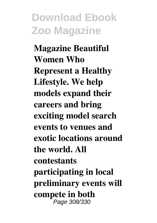**Magazine Beautiful Women Who Represent a Healthy Lifestyle. We help models expand their careers and bring exciting model search events to venues and exotic locations around the world. All contestants participating in local preliminary events will compete in both** Page 308/330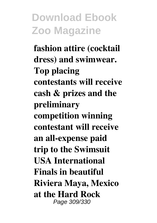**fashion attire (cocktail dress) and swimwear. Top placing contestants will receive cash & prizes and the preliminary competition winning contestant will receive an all-expense paid trip to the Swimsuit USA International Finals in beautiful Riviera Maya, Mexico at the Hard Rock** Page 309/330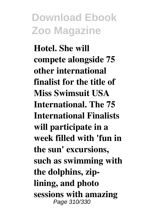**Hotel. She will compete alongside 75 other international finalist for the title of Miss Swimsuit USA International. The 75 International Finalists will participate in a week filled with 'fun in the sun' excursions, such as swimming with the dolphins, ziplining, and photo sessions with amazing** Page 310/330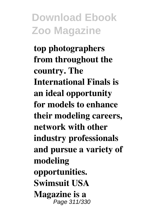**top photographers from throughout the country. The International Finals is an ideal opportunity for models to enhance their modeling careers, network with other industry professionals and pursue a variety of modeling opportunities. Swimsuit USA Magazine is a** Page 311/330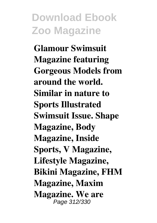**Glamour Swimsuit Magazine featuring Gorgeous Models from around the world. Similar in nature to Sports Illustrated Swimsuit Issue. Shape Magazine, Body Magazine, Inside Sports, V Magazine, Lifestyle Magazine, Bikini Magazine, FHM Magazine, Maxim Magazine. We are** Page 312/330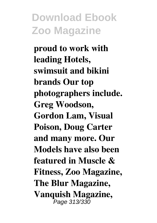**proud to work with leading Hotels, swimsuit and bikini brands Our top photographers include. Greg Woodson, Gordon Lam, Visual Poison, Doug Carter and many more. Our Models have also been featured in Muscle & Fitness, Zoo Magazine, The Blur Magazine, Vanquish Magazine,** Page 313/330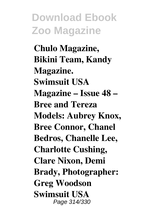**Chulo Magazine, Bikini Team, Kandy Magazine. Swimsuit USA Magazine – Issue 48 – Bree and Tereza Models: Aubrey Knox, Bree Connor, Chanel Bedros, Chanelle Lee, Charlotte Cushing, Clare Nixon, Demi Brady, Photographer: Greg Woodson Swimsuit USA** Page 314/330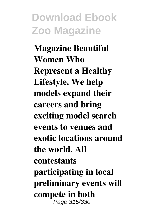**Magazine Beautiful Women Who Represent a Healthy Lifestyle. We help models expand their careers and bring exciting model search events to venues and exotic locations around the world. All contestants participating in local preliminary events will compete in both** Page 315/330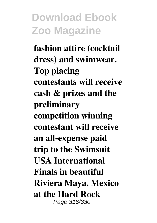**fashion attire (cocktail dress) and swimwear. Top placing contestants will receive cash & prizes and the preliminary competition winning contestant will receive an all-expense paid trip to the Swimsuit USA International Finals in beautiful Riviera Maya, Mexico at the Hard Rock** Page 316/330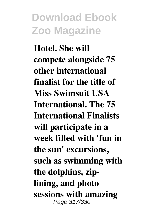**Hotel. She will compete alongside 75 other international finalist for the title of Miss Swimsuit USA International. The 75 International Finalists will participate in a week filled with 'fun in the sun' excursions, such as swimming with the dolphins, ziplining, and photo sessions with amazing** Page 317/330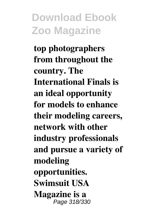**top photographers from throughout the country. The International Finals is an ideal opportunity for models to enhance their modeling careers, network with other industry professionals and pursue a variety of modeling opportunities. Swimsuit USA Magazine is a** Page 318/330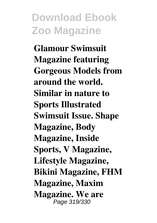**Glamour Swimsuit Magazine featuring Gorgeous Models from around the world. Similar in nature to Sports Illustrated Swimsuit Issue. Shape Magazine, Body Magazine, Inside Sports, V Magazine, Lifestyle Magazine, Bikini Magazine, FHM Magazine, Maxim Magazine. We are** Page 319/330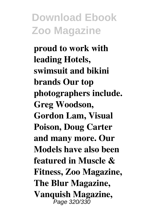**proud to work with leading Hotels, swimsuit and bikini brands Our top photographers include. Greg Woodson, Gordon Lam, Visual Poison, Doug Carter and many more. Our Models have also been featured in Muscle & Fitness, Zoo Magazine, The Blur Magazine, Vanquish Magazine,** Page 320/330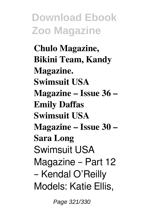**Chulo Magazine, Bikini Team, Kandy Magazine. Swimsuit USA Magazine – Issue 36 – Emily Daffas Swimsuit USA Magazine – Issue 30 – Sara Long** Swimsuit USA Magazine – Part 12 – Kendal O'Reilly Models: Katie Ellis,

Page 321/330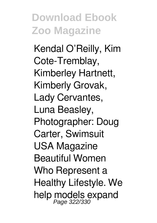Kendal O'Reilly, Kim Cote-Tremblay, Kimberley Hartnett, Kimberly Grovak, Lady Cervantes, Luna Beasley, Photographer: Doug Carter, Swimsuit USA Magazine Beautiful Women Who Represent a Healthy Lifestyle. We help models expand<br>Page 322/330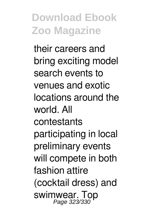their careers and bring exciting model search events to venues and exotic locations around the world. All contestants participating in local preliminary events will compete in both fashion attire (cocktail dress) and swimwear. Top<br>Page 323/330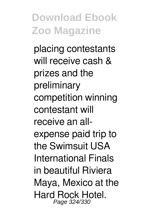placing contestants will receive cash & prizes and the preliminary competition winning contestant will receive an allexpense paid trip to the Swimsuit USA International Finals in beautiful Riviera Maya, Mexico at the Hard Rock Hotel. Page 324/330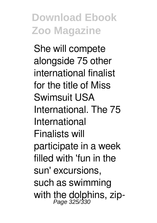She will compete alongside 75 other international finalist for the title of Miss Swimsuit USA International. The 75 International Finalists will participate in a week filled with 'fun in the sun' excursions, such as swimming with the dolphins, zip-<br>Page 325/330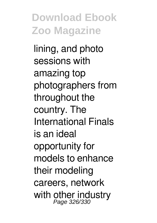lining, and photo sessions with amazing top photographers from throughout the country. The International Finals is an ideal opportunity for models to enhance their modeling careers, network with other industry<br>Page 326/330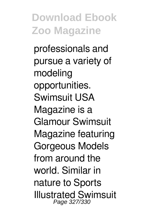professionals and pursue a variety of modeling opportunities. Swimsuit USA Magazine is a Glamour Swimsuit Magazine featuring Gorgeous Models from around the world. Similar in nature to Sports Illustrated Swimsuit Page 327/330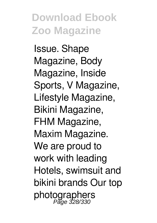Issue. Shape Magazine, Body Magazine, Inside Sports, V Magazine, Lifestyle Magazine, Bikini Magazine, FHM Magazine, Maxim Magazine. We are proud to work with leading Hotels, swimsuit and bikini brands Our top photographers Page 328/330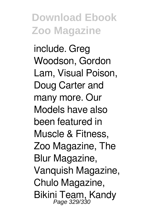include. Greg Woodson, Gordon Lam, Visual Poison, Doug Carter and many more. Our Models have also been featured in Muscle & Fitness, Zoo Magazine, The Blur Magazine, Vanquish Magazine, Chulo Magazine, Bikini Team, Kandy<br>Page 329/330